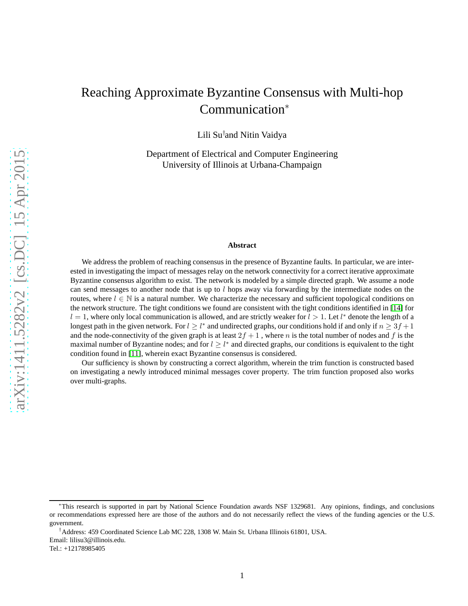# Reaching Approximate Byzantine Consensus with Multi-hop Communication<sup>∗</sup>

Lili Su† and Nitin Vaidya

Department of Electrical and Computer Engineering University of Illinois at Urbana-Champaign

#### **Abstract**

We address the problem of reaching consensus in the presence of Byzantine faults. In particular, we are interested in investigating the impact of messages relay on the network connectivity for a correct iterative approximate Byzantine consensus algorithm to exist. The network is modeled by a simple directed graph. We assume a node can send messages to another node that is up to  $l$  hops away via forwarding by the intermediate nodes on the routes, where  $l \in \mathbb{N}$  is a natural number. We characterize the necessary and sufficient topological conditions on the network structure. The tight conditions we found are consistent with the tight conditions identified in [\[14\]](#page-11-0) for  $l = 1$ , where only local communication is allowed, and are strictly weaker for  $l > 1$ . Let  $l^*$  denote the length of a longest path in the given network. For  $l \geq l^*$  and undirected graphs, our conditions hold if and only if  $n \geq 3f + 1$ and the node-connectivity of the given graph is at least  $2f + 1$ , where n is the total number of nodes and f is the maximal number of Byzantine nodes; and for  $l \geq l^*$  and directed graphs, our conditions is equivalent to the tight condition found in [\[11\]](#page-11-1), wherein exact Byzantine consensus is considered.

Our sufficiency is shown by constructing a correct algorithm, wherein the trim function is constructed based on investigating a newly introduced minimal messages cover property. The trim function proposed also works over multi-graphs.

<sup>∗</sup>This research is supported in part by National Science Foundation awards NSF 1329681. Any opinions, findings, and conclusions or recommendations expressed here are those of the authors and do not necessarily reflect the views of the funding agencies or the U.S. government.

<sup>†</sup>Address: 459 Coordinated Science Lab MC 228, 1308 W. Main St. Urbana Illinois 61801, USA.

Email: lilisu3@illinois.edu.

Tel.: +12178985405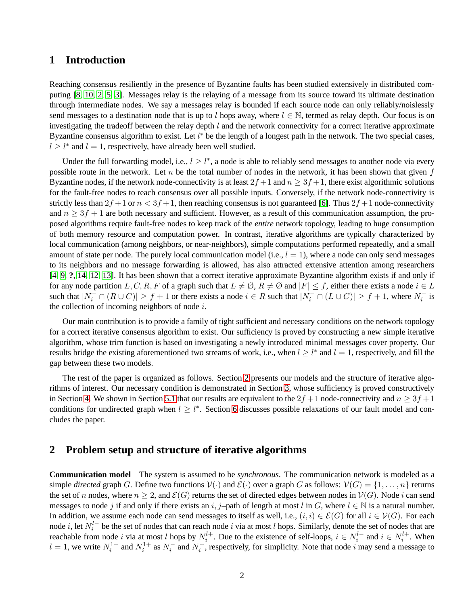## **1 Introduction**

Reaching consensus resiliently in the presence of Byzantine faults has been studied extensively in distributed computing [\[8,](#page-10-0) [10,](#page-10-1) [2,](#page-10-2) [5,](#page-10-3) [3\]](#page-10-4). Messages relay is the relaying of a message from its source toward its ultimate destination through intermediate nodes. We say a messages relay is bounded if each source node can only reliably/noislessly send messages to a destination node that is up to l hops away, where  $l \in \mathbb{N}$ , termed as relay depth. Our focus is on investigating the tradeoff between the relay depth  $l$  and the network connectivity for a correct iterative approximate Byzantine consensus algorithm to exist. Let  $l^*$  be the length of a longest path in the network. The two special cases,  $l \geq l^*$  and  $l = 1$ , respectively, have already been well studied.

Under the full forwarding model, i.e.,  $l \geq l^*$ , a node is able to reliably send messages to another node via every possible route in the network. Let n be the total number of nodes in the network, it has been shown that given  $f$ Byzantine nodes, if the network node-connectivity is at least  $2f + 1$  and  $n \geq 3f + 1$ , there exist algorithmic solutions for the fault-free nodes to reach consensus over all possible inputs. Conversely, if the network node-connectivity is strictly less than  $2f+1$  or  $n < 3f+1$ , then reaching consensus is not guaranteed [\[6\]](#page-10-5). Thus  $2f+1$  node-connectivity and  $n \geq 3f + 1$  are both necessary and sufficient. However, as a result of this communication assumption, the proposed algorithms require fault-free nodes to keep track of the *entire* network topology, leading to huge consumption of both memory resource and computation power. In contrast, iterative algorithms are typically characterized by local communication (among neighbors, or near-neighbors), simple computations performed repeatedly, and a small amount of state per node. The purely local communication model (i.e.,  $l = 1$ ), where a node can only send messages to its neighbors and no message forwarding is allowed, has also attracted extensive attention among researchers [\[4,](#page-10-6) [9,](#page-10-7) **?**, [14,](#page-11-0) [12,](#page-11-2) [13\]](#page-11-3). It has been shown that a correct iterative approximate Byzantine algorithm exists if and only if for any node partition  $L, C, R, F$  of a graph such that  $L \neq \emptyset$ ,  $R \neq \emptyset$  and  $|F| \leq f$ , either there exists a node  $i \in L$ such that  $|N_i^- \cap (R \cup C)| \ge f + 1$  or there exists a node  $i \in R$  such that  $|N_i^- \cap (L \cup C)| \ge f + 1$ , where  $N_i^-$  is the collection of incoming neighbors of node  $i$ .

Our main contribution is to provide a family of tight sufficient and necessary conditions on the network topology for a correct iterative consensus algorithm to exist. Our sufficiency is proved by constructing a new simple iterative algorithm, whose trim function is based on investigating a newly introduced minimal messages cover property. Our results bridge the existing aforementioned two streams of work, i.e., when  $l \geq l^*$  and  $l = 1$ , respectively, and fill the gap between these two models.

The rest of the paper is organized as follows. Section [2](#page-14-0) presents our models and the structure of iterative algorithms of interest. Our necessary condition is demonstrated in Section [3,](#page-23-0) whose sufficiency is proved constructively in Section [4.](#page-6-0) We shown in Section [5.1](#page-9-0) that our results are equivalent to the  $2f + 1$  node-connectivity and  $n \geq 3f + 1$ conditions for undirected graph when  $l \geq l^*$ . Section [6](#page-9-1) discusses possible relaxations of our fault model and concludes the paper.

### **2 Problem setup and structure of iterative algorithms**

**Communication model** The system is assumed to be *synchronous*. The communication network is modeled as a simple *directed* graph G. Define two functions  $V(\cdot)$  and  $\mathcal{E}(\cdot)$  over a graph G as follows:  $V(G) = \{1, \ldots, n\}$  returns the set of n nodes, where  $n \geq 2$ , and  $\mathcal{E}(G)$  returns the set of directed edges between nodes in  $\mathcal{V}(G)$ . Node i can send messages to node j if and only if there exists an i, j–path of length at most l in G, where  $l \in \mathbb{N}$  is a natural number. In addition, we assume each node can send messages to itself as well, i.e.,  $(i, i) \in \mathcal{E}(G)$  for all  $i \in \mathcal{V}(G)$ . For each node *i*, let  $N_i^{l-}$  be the set of nodes that can reach node *i* via at most *l* hops. Similarly, denote the set of nodes that are reachable from node i via at most l hops by  $N_i^{l+}$ . Due to the existence of self-loops,  $i \in N_i^{l-}$  and  $i \in N_i^{l+}$ . When  $l = 1$ , we write  $N_i^{1-}$  and  $N_i^{1+}$  as  $N_i^{-}$  and  $N_i^{+}$ , respectively, for simplicity. Note that node i may send a message to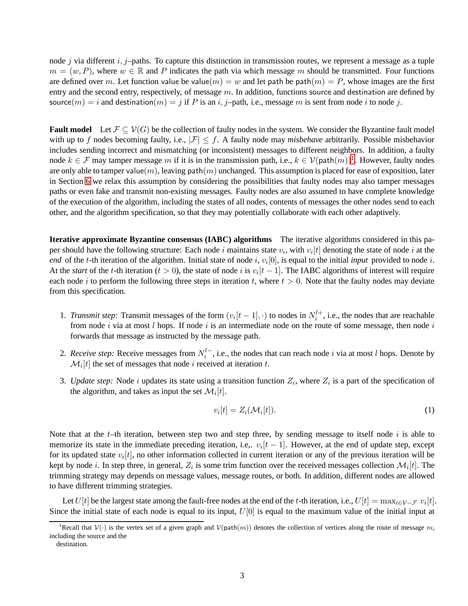node j via different  $i, j$ -paths. To capture this distinction in transmission routes, we represent a message as a tuple  $m = (w, P)$ , where  $w \in \mathbb{R}$  and P indicates the path via which message m should be transmitted. Four functions are defined over m. Let function value be value $(m) = w$  and let path be path $(m) = P$ , whose images are the first entry and the second entry, respectively, of message  $m$ . In addition, functions source and destination are defined by source(m) = i and destination(m) = j if P is an i, j-path, i.e., message m is sent from node i to node j.

**Fault model** Let  $\mathcal{F} \subseteq \mathcal{V}(G)$  be the collection of faulty nodes in the system. We consider the Byzantine fault model with up to f nodes becoming faulty, i.e.,  $|\mathcal{F}| \leq f$ . A faulty node may *misbehave* arbitrarily. Possible misbehavior includes sending incorrect and mismatching (or inconsistent) messages to different neighbors. In addition, a faulty node  $k \in \mathcal{F}$  may tamper message m if it is in the transmission path, i.e.,  $k \in \mathcal{V}(\text{path}(m))^1$  $k \in \mathcal{V}(\text{path}(m))^1$ . However, faulty nodes are only able to tamper value $(m)$ , leaving path $(m)$  unchanged. This assumption is placed for ease of exposition, later in Section [6](#page-9-1) we relax this assumption by considering the possibilities that faulty nodes may also tamper messages paths or even fake and transmit non-existing messages. Faulty nodes are also assumed to have complete knowledge of the execution of the algorithm, including the states of all nodes, contents of messages the other nodes send to each other, and the algorithm specification, so that they may potentially collaborate with each other adaptively.

<span id="page-2-1"></span>**Iterative approximate Byzantine consensus (IABC) algorithms** The iterative algorithms considered in this paper should have the following structure: Each node i maintains state  $v_i$ , with  $v_i[t]$  denoting the state of node i at the *end* of the *t*-th iteration of the algorithm. Initial state of node i,  $v_i[0]$ , is equal to the initial *input* provided to node i. At the *start* of the *t*-th iteration ( $t > 0$ ), the state of node i is  $v_i[t-1]$ . The IABC algorithms of interest will require each node i to perform the following three steps in iteration t, where  $t > 0$ . Note that the faulty nodes may deviate from this specification.

- 1. *Transmit step*: Transmit messages of the form  $(v_i[t-1], \cdot)$  to nodes in  $N_i^{l+}$ , i.e., the nodes that are reachable from node i via at most l hops. If node i is an intermediate node on the route of some message, then node i forwards that message as instructed by the message path.
- 2. *Receive step*: Receive messages from  $N_i^{l-}$ , i.e., the nodes that can reach node i via at most l hops. Denote by  $\mathcal{M}_i[t]$  the set of messages that node i received at iteration t.
- 3. Update step: Node i updates its state using a transition function  $Z_i$ , where  $Z_i$  is a part of the specification of the algorithm, and takes as input the set  $\mathcal{M}_i[t]$ .

$$
v_i[t] = Z_i(\mathcal{M}_i[t]). \tag{1}
$$

Note that at the t–th iteration, between step two and step three, by sending message to itself node i is able to memorize its state in the immediate preceding iteration, i.e,.  $v_i[t-1]$ . However, at the end of update step, except for its updated state  $v_i[t]$ , no other information collected in current iteration or any of the previous iteration will be kept by node i. In step three, in general,  $Z_i$  is some trim function over the received messages collection  $\mathcal{M}_i[t]$ . The trimming strategy may depends on message values, message routes, or both. In addition, different nodes are allowed to have different trimming strategies.

Let  $U[t]$  be the largest state among the fault-free nodes at the end of the  $t$ -th iteration, i.e.,  $U[t] = \max_{i \in \mathcal{V}-\mathcal{F}} v_i[t].$ Since the initial state of each node is equal to its input,  $U[0]$  is equal to the maximum value of the initial input at

<sup>&</sup>lt;sup>1</sup>Recall that  $V(\cdot)$  is the vertex set of a given graph and  $V(\text{path}(m))$  denotes the collection of vertices along the route of message m, including the source and the

<span id="page-2-0"></span>destination.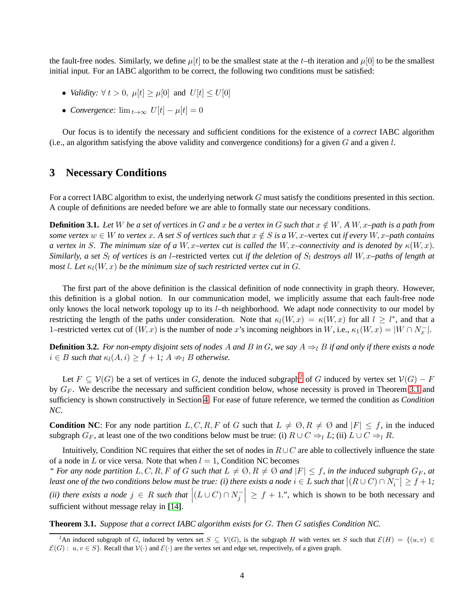the fault-free nodes. Similarly, we define  $\mu[t]$  to be the smallest state at the t–th iteration and  $\mu[0]$  to be the smallest initial input. For an IABC algorithm to be correct, the following two conditions must be satisfied:

- *Validity:*  $\forall$   $t > 0$ ,  $\mu[t] \ge \mu[0]$  and  $U[t] \le U[0]$
- *Convergence:*  $\lim_{t\to\infty} U[t] \mu[t] = 0$

Our focus is to identify the necessary and sufficient conditions for the existence of a *correct* IABC algorithm (i.e., an algorithm satisfying the above validity and convergence conditions) for a given  $G$  and a given  $l$ .

### **3 Necessary Conditions**

For a correct IABC algorithm to exist, the underlying network G must satisfy the conditions presented in this section. A couple of definitions are needed before we are able to formally state our necessary conditions.

**Definition 3.1.** Let W be a set of vertices in G and x be a vertex in G such that  $x \notin W$ . A  $W$ , x–path is a path from *some vertex*  $w \in W$  *to vertex* x. A set S of vertices such that  $x \notin S$  is a  $W$ , x–vertex cut if every  $W$ , x–path contains *a* vertex in S. The minimum size of a W, x–vertex cut is called the W, x–connectivity and is denoted by  $\kappa(W, x)$ . *Similarly, a set*  $S_l$  *of vertices is an l*–restricted vertex cut *if the deletion of*  $S_l$  *destroys all*  $W$ , x–paths *of length at most l.* Let  $\kappa_l(W, x)$  *be the minimum size of such restricted vertex cut in G.* 

The first part of the above definition is the classical definition of node connectivity in graph theory. However, this definition is a global notion. In our communication model, we implicitly assume that each fault-free node only knows the local network topology up to its  $l$ –th neighborhood. We adapt node connectivity to our model by restricting the length of the paths under consideration. Note that  $\kappa_l(W, x) = \kappa(W, x)$  for all  $l \geq l^*$ , and that a 1–restricted vertex cut of  $(W, x)$  is the number of node x's incoming neighbors in W, i.e.,  $\kappa_1(W, x) = |W \cap N_x^-|$ .

**Definition 3.2.** For non-empty disjoint sets of nodes A and B in G, we say  $A \Rightarrow_l B$  if and only if there exists a node  $i \in B$  *such that*  $\kappa_l(A, i) \geq f + 1$ ;  $A \neq_l B$  *otherwise.* 

Let  $F \subseteq V(G)$  be a set of vertices in G, denote the induced subgraph<sup>[2](#page-3-0)</sup> of G induced by vertex set  $V(G) - F$ by  $G_F$ . We describe the necessary and sufficient condition below, whose necessity is proved in Theorem [3.1](#page-24-0) and sufficiency is shown constructively in Section [4.](#page-6-0) For ease of future reference, we termed the condition as *Condition NC*.

**Condition NC**: For any node partition L, C, R, F of G such that  $L \neq \emptyset$ ,  $R \neq \emptyset$  and  $|F| \leq f$ , in the induced subgraph  $G_F$ , at least one of the two conditions below must be true: (i)  $R \cup C \Rightarrow_l L$ ; (ii)  $L \cup C \Rightarrow_l R$ .

Intuitively, Condition NC requires that either the set of nodes in  $R \cup C$  are able to collectively influence the state of a node in L or vice versa. Note that when  $l = 1$ , Condition NC becomes

*"* For any node partition  $L, C, R, F$  of G such that  $L \neq \emptyset, R \neq \emptyset$  and  $|F| \leq f$ , in the induced subgraph  $G_F$ , at least one of the two conditions below must be true: (i) there exists a node  $i \in L$  such that  $|(R\cup C)\cap N_i^-\geq f+1;$ *(ii)* there exists a node  $j \in R$  such that  $|(L \cup C) \cap N_j^ \vert \geq f + 1$ .", which is shown to be both necessary and sufficient without message relay in [\[14\]](#page-11-0).

**Theorem 3.1.** *Suppose that a correct IABC algorithm exists for* G*. Then* G *satisfies Condition NC.*

<span id="page-3-0"></span><sup>&</sup>lt;sup>2</sup>An induced subgraph of G, induced by vertex set  $S \subseteq V(G)$ , is the subgraph H with vertex set S such that  $\mathcal{E}(H) = \{(u, v) \in$  $\mathcal{E}(G)$ :  $u, v \in S$ . Recall that  $\mathcal{V}(\cdot)$  and  $\mathcal{E}(\cdot)$  are the vertex set and edge set, respectively, of a given graph.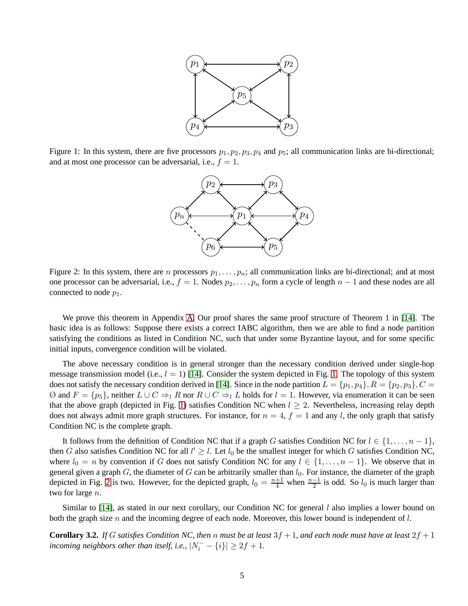

<span id="page-4-0"></span>Figure 1: In this system, there are five processors  $p_1, p_2, p_3, p_4$  and  $p_5$ ; all communication links are bi-directional; and at most one processor can be adversarial, i.e.,  $f = 1$ .



<span id="page-4-1"></span>Figure 2: In this system, there are *n* processors  $p_1, \ldots, p_n$ ; all communication links are bi-directional; and at most one processor can be adversarial, i.e.,  $f = 1$ . Nodes  $p_2, \ldots, p_n$  form a cycle of length  $n - 1$  and these nodes are all connected to node  $p_1$ .

We prove this theorem in Appendix [A.](#page-12-0) Our proof shares the same proof structure of Theorem 1 in [\[14\]](#page-11-0). The basic idea is as follows: Suppose there exists a correct IABC algorithm, then we are able to find a node partition satisfying the conditions as listed in Condition NC, such that under some Byzantine layout, and for some specific initial inputs, convergence condition will be violated.

The above necessary condition is in general stronger than the necessary condition derived under single-hop message transmission model (i.e.,  $l = 1$ ) [\[14\]](#page-11-0). Consider the system depicted in Fig. [1.](#page-4-0) The topology of this system does not satisfy the necessary condition derived in [\[14\]](#page-11-0). Since in the node partition  $L = \{p_1, p_4\}, R = \{p_2, p_3\}, C =$ Ø and  $F = \{p_5\}$ , neither  $L \cup C \Rightarrow_l R$  nor  $R \cup C \Rightarrow_l L$  holds for  $l = 1$ . However, via enumeration it can be seen that the above graph (depicted in Fig. [1\)](#page-4-0) satisfies Condition NC when  $l \geq 2$ . Nevertheless, increasing relay depth does not always admit more graph structures. For instance, for  $n = 4$ ,  $f = 1$  and any l, the only graph that satisfy Condition NC is the complete graph.

It follows from the definition of Condition NC that if a graph G satisfies Condition NC for  $l \in \{1, \ldots, n-1\}$ , then G also satisfies Condition NC for all  $l' \geq l$ . Let  $l_0$  be the smallest integer for which G satisfies Condition NC, where  $l_0 = n$  by convention if G does not satisfy Condition NC for any  $l \in \{1, ..., n-1\}$ . We observe that in general given a graph  $G$ , the diameter of  $G$  can be arbitrarily smaller than  $l_0$ . For instance, the diameter of the graph depicted in Fig. [2](#page-4-1) is two. However, for the depicted graph,  $l_0 = \frac{n+1}{4}$  when  $\frac{n-1}{2}$  is odd. So  $l_0$  is much larger than two for large *n*.

Similar to  $[14]$ , as stated in our next corollary, our Condition NC for general l also implies a lower bound on both the graph size n and the incoming degree of each node. Moreover, this lower bound is independent of  $l$ .

<span id="page-4-2"></span>**Corollary 3.2.** *If* G satisfies Condition NC, then n must be at least  $3f + 1$ , and each node must have at least  $2f + 1$ *incoming neighbors other than itself, i.e.,*  $|N_i^- - \{i\}| \geq 2f + 1$ *.*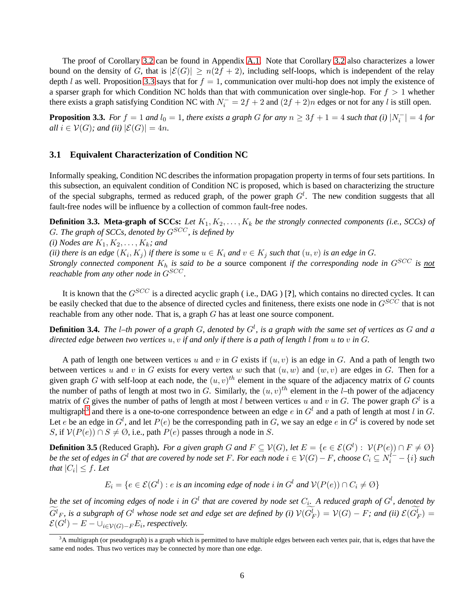The proof of Corollary [3.2](#page-4-2) can be found in Appendix [A.1.](#page-13-0) Note that Corollary [3.2](#page-4-2) also characterizes a lower bound on the density of G, that is  $|\mathcal{E}(G)| \ge n(2f+2)$ , including self-loops, which is independent of the relay depth l as well. Proposition [3.3](#page-5-0) says that for  $f = 1$ , communication over multi-hop does not imply the existence of a sparser graph for which Condition NC holds than that with communication over single-hop. For  $f > 1$  whether there exists a graph satisfying Condition NC with  $N_i^- = 2f + 2$  and  $(2f + 2)n$  edges or not for any l is still open.

<span id="page-5-0"></span>**Proposition 3.3.** For  $f = 1$  and  $l_0 = 1$ , there exists a graph G for any  $n \geq 3f + 1 = 4$  such that (i)  $|N_i^-| = 4$  for *all*  $i \in V(G)$ *; and (ii)*  $|\mathcal{E}(G)| = 4n$ *.* 

#### **3.1 Equivalent Characterization of Condition NC**

Informally speaking, Condition NC describes the information propagation property in terms of four sets partitions. In this subsection, an equivalent condition of Condition NC is proposed, which is based on characterizing the structure of the special subgraphs, termed as reduced graph, of the power graph  $G<sup>l</sup>$ . The new condition suggests that all fault-free nodes will be influence by a collection of common fault-free nodes.

**Definition 3.3. Meta-graph of SCCs:** Let  $K_1, K_2, \ldots, K_k$  be the strongly connected components (i.e., SCCs) of G*. The graph of SCCs, denoted by* GSCC*, is defined by*

*(i) Nodes are*  $K_1, K_2, \ldots, K_k$ *; and* 

(*ii*) there is an edge  $(K_i, K_j)$  if there is some  $u \in K_i$  and  $v \in K_j$  such that  $(u, v)$  is an edge in G.

*Strongly connected component*  $K_h$  *is said to be a source component if the corresponding node in*  $G^{SCC}$  *is not reachable from any other node in*  $G^{SCC}$ .

It is known that the  $G^{SCC}$  is a directed acyclic graph (i.e., DAG) [?], which contains no directed cycles. It can be easily checked that due to the absence of directed cycles and finiteness, there exists one node in  $G^{SCC}$  that is not reachable from any other node. That is, a graph G has at least one source component.

**Definition 3.4.** *The* l*–th power of a graph* G*, denoted by* G<sup>l</sup> *, is a graph with the same set of vertices as* G *and a directed edge between two vertices* u, v *if and only if there is a path of length* l *from* u *to* v *in* G*.*

A path of length one between vertices u and v in G exists if  $(u, v)$  is an edge in G. And a path of length two between vertices u and v in G exists for every vertex w such that  $(u, w)$  and  $(w, v)$  are edges in G. Then for a given graph G with self-loop at each node, the  $(u, v)^{th}$  element in the square of the adjacency matrix of G counts the number of paths of length at most two in G. Similarly, the  $(u, v)^{th}$  element in the *l*-th power of the adjacency matrix of G gives the number of paths of length at most l between vertices u and v in G. The power graph  $G^l$  is a multigraph<sup>[3](#page-5-1)</sup> and there is a one-to-one correspondence between an edge  $e$  in  $G^l$  and a path of length at most  $l$  in  $G$ . Let e be an edge in  $G^l$ , and let  $P(e)$  be the corresponding path in G, we say an edge e in  $G^l$  is covered by node set S, if  $V(P(e)) \cap S \neq \emptyset$ , i.e., path  $P(e)$  passes through a node in S.

<span id="page-5-2"></span>**Definition 3.5** (Reduced Graph). *For a given graph* G and  $F \subseteq V(G)$ , let  $E = \{e \in \mathcal{E}(G^l) : V(P(e)) \cap F \neq \emptyset\}$ *be the set of edges in*  $G^l$  *that are covered by node set*  $F.$  *For each node*  $i\in\mathcal{V}(G)-F.$  *choose*  $C_i\subseteq N_i^{l-}-\{i\}$  *such that*  $|C_i| \leq f$ *. Let* 

 $E_i = \{e \in \mathcal{E}(G^l) : e \text{ is an incoming edge of node } i \text{ in } G^l \text{ and } \mathcal{V}(P(e)) \cap C_i \neq \emptyset\}$ 

be the set of incoming edges of node i in  $G^l$  that are covered by node set  $C_i$ . A reduced graph of  $G^l$ , denoted by  $G^l{}_F$ , is a subgraph of  $G^l$  whose node set and edge set are defined by (i)  $\mathcal{V}(G_F^l)=\mathcal{V}(G)-F;$  and (ii)  $\mathcal{E}(G_F^l)=$  $\mathcal{E}(G^{l}) - E - \cup_{i \in \mathcal{V}(G)-F} E_i$ , respectively.

<span id="page-5-1"></span> $3A$  multigraph (or pseudograph) is a graph which is permitted to have multiple edges between each vertex pair, that is, edges that have the same end nodes. Thus two vertices may be connected by more than one edge.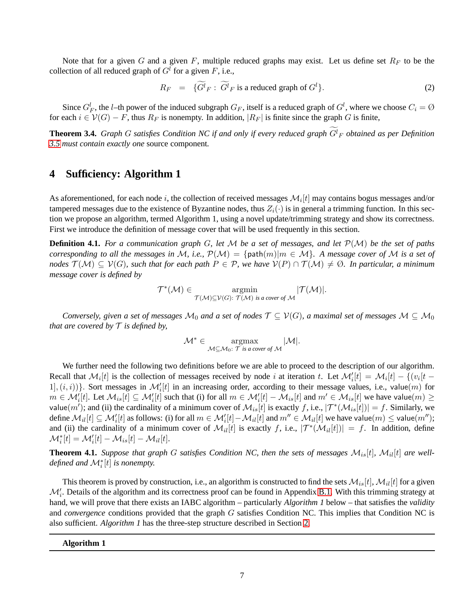Note that for a given  $G$  and a given  $F$ , multiple reduced graphs may exist. Let us define set  $R_F$  to be the collection of all reduced graph of  $G<sup>l</sup>$  for a given F, i.e.,

$$
R_F = \{G^l_F : G^l_F \text{ is a reduced graph of } G^l\}. \tag{2}
$$

Since  $G_F^l$ , the *l*-th power of the induced subgraph  $G_F$ , itself is a reduced graph of  $G^l$ , where we choose  $C_i = \emptyset$ for each  $i \in V(G) - F$ , thus  $R_F$  is nonempty. In addition,  $|R_F|$  is finite since the graph G is finite,

<span id="page-6-1"></span>**Theorem 3.4.** Graph G satisfies Condition NC if and only if every reduced graph  $G^l_F$  obtained as per Definition *[3.5](#page-5-2) must contain exactly one* source component*.*

### <span id="page-6-0"></span>**4 Sufficiency: Algorithm 1**

As aforementioned, for each node i, the collection of received messages  $\mathcal{M}_i[t]$  may contains bogus messages and/or tampered messages due to the existence of Byzantine nodes, thus  $Z_i(\cdot)$  is in general a trimming function. In this section we propose an algorithm, termed Algorithm 1, using a novel update/trimming strategy and show its correctness. First we introduce the definition of message cover that will be used frequently in this section.

**Definition 4.1.** *For a communication graph* G*, let* M *be a set of messages, and let* P(M) *be the set of paths corresponding to all the messages in* M, i.e.,  $\mathcal{P}(\mathcal{M}) = \{\text{path}(m)|m \in \mathcal{M}\}\$ . A message cover of M is a set of *nodes*  $\mathcal{T}(\mathcal{M}) \subseteq \mathcal{V}(G)$ *, such that for each path*  $P \in \mathcal{P}$ *, we have*  $\mathcal{V}(P) \cap \mathcal{T}(\mathcal{M}) \neq \emptyset$ *. In particular, a minimum message cover is defined by*

$$
\mathcal{T}^*(\mathcal{M}) \in \underset{\mathcal{T}(\mathcal{M}) \subseteq \mathcal{V}(G): \mathcal{T}(\mathcal{M}) \text{ is a cover of } \mathcal{M}}{\operatorname{argmin}} |\mathcal{T}(\mathcal{M})|.
$$

*Conversely, given a set of messages*  $M_0$  *and a set of nodes*  $\mathcal{T} \subseteq \mathcal{V}(G)$ *, a maximal set of messages*  $M \subseteq M_0$ *that are covered by*  $\mathcal T$  *is defined by,* 

$$
\mathcal{M}^* \in \operatorname*{argmax}_{\mathcal{M} \subseteq \mathcal{M}_0: \ \mathcal{T} \ \text{is a cover of} \ \mathcal{M}} |\mathcal{M}|.
$$

We further need the following two definitions before we are able to proceed to the description of our algorithm. Recall that  $\mathcal{M}_i[t]$  is the collection of messages received by node i at iteration t. Let  $\mathcal{M}'_i[t] = \mathcal{M}_i[t] - \{(v_i[t] - \mathcal{M}_i[t] \mid \mathcal{M}_i[t] = \mathcal{M}_i[t] \mid \mathcal{M}_i[t] = \mathcal{M}_i[t] \}$ 1,  $(i, i)$ }. Sort messages in  $\mathcal{M}'_i[t]$  in an increasing order, according to their message values, i.e., value $(m)$  for  $m \in \mathcal{M}'_i[t]$ . Let  $\mathcal{M}_i[t] \subseteq \mathcal{M}'_i[t]$  such that (i) for all  $m \in \mathcal{M}'_i[t] - \mathcal{M}_{is}[t]$  and  $m' \in \mathcal{M}_{is}[t]$  we have value $(m) \ge$ value $(m')$ ; and (ii) the cardinality of a minimum cover of  $\mathcal{M}_{is}[t]$  is exactly f, i.e.,  $|\mathcal{T}^*(\mathcal{M}_{is}[t])| = f$ . Similarly, we define  $\mathcal{M}_{il}[t]\subseteq \mathcal{M}'_i[t]$  as follows: (i) for all  $m\in \mathcal{M}'_i[t]-\mathcal{M}_{il}[t]$  and  $m''\in \mathcal{M}_{il}[t]$  we have value $(m)\leq$  value $(m'');$ and (ii) the cardinality of a minimum cover of  $\mathcal{M}_{il}[t]$  is exactly f, i.e.,  $|\mathcal{T}^*(\mathcal{M}_{il}[t])| = f$ . In addition, define  $\mathcal{M}_i^*[t] = \mathcal{M}_i'[t] - \mathcal{M}_{is}[t] - \mathcal{M}_{il}[t].$ 

<span id="page-6-2"></span>**Theorem 4.1.** Suppose that graph G satisfies Condition NC, then the sets of messages  $\mathcal{M}_{is}[t]$ ,  $\mathcal{M}_{il}[t]$  are well*defined and*  $\mathcal{M}_{i}^{*}[t]$  *is nonempty.* 

This theorem is proved by construction, i.e., an algorithm is constructed to find the sets  $\mathcal{M}_{is}[t], \mathcal{M}_{il}[t]$  for a given  $\mathcal{M}'_i$ . Details of the algorithm and its correctness proof can be found in Appendix [B.1.](#page-14-1) With this trimming strategy at hand, we will prove that there exists an IABC algorithm – particularly *Algorithm 1* below – that satisfies the *validity* and *convergence* conditions provided that the graph G satisfies Condition NC. This implies that Condition NC is also sufficient. *Algorithm 1* has the three-step structure described in Section [2.](#page-2-1)

**Algorithm 1**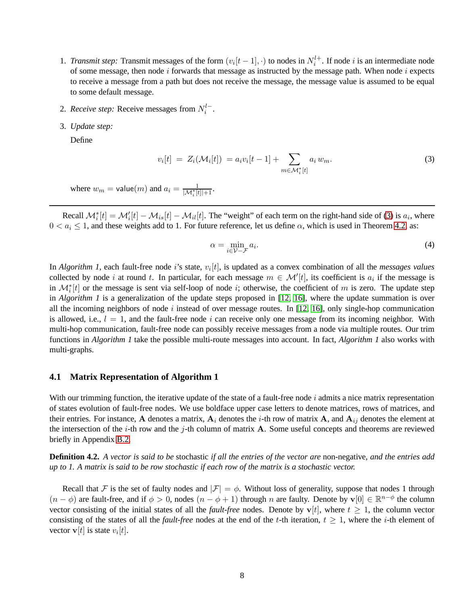- 1. *Transmit step*: Transmit messages of the form  $(v_i[t-1], \cdot)$  to nodes in  $N_i^{l+}$ . If node *i* is an intermediate node of some message, then node  $i$  forwards that message as instructed by the message path. When node  $i$  expects to receive a message from a path but does not receive the message, the message value is assumed to be equal to some default message.
- 2. *Receive step:* Receive messages from  $N_i^{l-}$ .
- 3. *Update step:*

Define

<span id="page-7-0"></span>
$$
v_i[t] = Z_i(\mathcal{M}_i[t]) = a_i v_i[t-1] + \sum_{m \in \mathcal{M}_i^*[t]} a_i w_m.
$$
 (3)

where  $w_m = \text{value}(m)$  and  $a_i = \frac{1}{|\mathcal{M}_i^*[t]|+1}$ .

Recall  $\mathcal{M}_i^*[t] = \mathcal{M}_i'[t] - \mathcal{M}_{is}[t] - \mathcal{M}_{il}[t]$ . The "weight" of each term on the right-hand side of [\(3\)](#page-7-0) is  $a_i$ , where  $0 < a_i \leq 1$ , and these weights add to 1. For future reference, let us define  $\alpha$ , which is used in Theorem [4.2,](#page-8-0) as:

<span id="page-7-1"></span>
$$
\alpha = \min_{i \in \mathcal{V} - \mathcal{F}} a_i. \tag{4}
$$

In *Algorithm 1*, each fault-free node *i*'s state,  $v_i[t]$ , is updated as a convex combination of all the *messages values* collected by node i at round t. In particular, for each message  $m \in \mathcal{M}'[t]$ , its coefficient is  $a_i$  if the message is in  $\mathcal{M}_{i}^{*}[t]$  or the message is sent via self-loop of node i; otherwise, the coefficient of m is zero. The update step in *Algorithm 1* is a generalization of the update steps proposed in [\[12,](#page-11-2) [16\]](#page-11-4), where the update summation is over all the incoming neighbors of node i instead of over message routes. In [\[12,](#page-11-2) [16\]](#page-11-4), only single-hop communication is allowed, i.e.,  $l = 1$ , and the fault-free node i can receive only one message from its incoming neighbor. With multi-hop communication, fault-free node can possibly receive messages from a node via multiple routes. Our trim functions in *Algorithm 1* take the possible multi-route messages into account. In fact, *Algorithm 1* also works with multi-graphs.

### **4.1 Matrix Representation of Algorithm 1**

With our trimming function, the iterative update of the state of a fault-free node  $i$  admits a nice matrix representation of states evolution of fault-free nodes. We use boldface upper case letters to denote matrices, rows of matrices, and their entries. For instance, A denotes a matrix,  $A_i$  denotes the *i*-th row of matrix A, and  $A_{ij}$  denotes the element at the intersection of the *i*-th row and the *j*-th column of matrix  $A$ . Some useful concepts and theorems are reviewed briefly in Appendix [B.2.](#page-15-0)

**Definition 4.2.** *A vector is said to be* stochastic *if all the entries of the vector are* non-negative*, and the entries add up to 1. A matrix is said to be row stochastic if each row of the matrix is a stochastic vector.*

Recall that F is the set of faulty nodes and  $|\mathcal{F}| = \phi$ . Without loss of generality, suppose that nodes 1 through  $(n - \phi)$  are fault-free, and if  $\phi > 0$ , nodes  $(n - \phi + 1)$  through n are faulty. Denote by  $\mathbf{v}[0] \in \mathbb{R}^{n - \phi}$  the column vector consisting of the initial states of all the *fault-free* nodes. Denote by  $v[t]$ , where  $t \geq 1$ , the column vector consisting of the states of all the *fault-free* nodes at the end of the t-th iteration,  $t \geq 1$ , where the *i*-th element of vector  $\mathbf{v}[t]$  is state  $v_i[t]$ .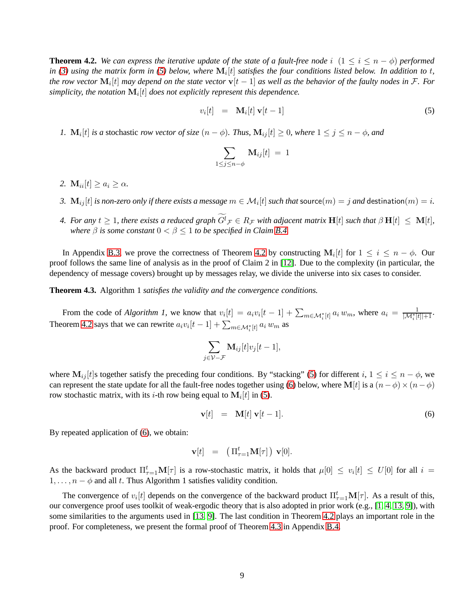<span id="page-8-0"></span>**Theorem 4.2.** We can express the iterative update of the state of a fault-free node i  $(1 \le i \le n - \phi)$  performed in [\(3\)](#page-7-0) using the matrix form in [\(5\)](#page-8-1) below, where  $\mathbf{M}_i[t]$  satisfies the four conditions listed below. In addition to t, the row vector  $\mathbf{M}_i[t]$  may depend on the state vector  $\mathbf{v}[t-1]$  as well as the behavior of the faulty nodes in F. For simplicity, the notation  $\mathbf{M}_i[t]$  does not explicitly represent this dependence.

<span id="page-8-1"></span>
$$
v_i[t] = \mathbf{M}_i[t] \mathbf{v}[t-1] \tag{5}
$$

*1.*  $\mathbf{M}_i[t]$  *is a* stochastic *row vector of size*  $(n - \phi)$ *. Thus,*  $\mathbf{M}_{ij}[t] \geq 0$ *, where*  $1 \leq j \leq n - \phi$ *, and* 

$$
\sum_{1\leq j\leq n-\phi} \mathbf{M}_{ij}[t] = 1
$$

- 2.  $\mathbf{M}_{ii}[t] \geq a_i \geq \alpha$ .
- 3.  $\mathrm{M}_{ij}[t]$  *is non-zero only if there exists a message*  $m\in\mathcal{M}_i[t]$  *such that*  $\mathsf{source}(m)=j$  *and*  $\mathsf{destination}(m)=i.$
- *4. For any*  $t \geq 1$ , there exists a reduced graph  $G^l_{\mathcal{F}} \in R_{\mathcal{F}}$  with adjacent matrix  $\mathbf{H}[t]$  such that  $\beta \mathbf{H}[t] \ \leq \ \mathbf{M}[t]$ , *where*  $\beta$  *is some constant*  $0 < \beta \leq 1$  *to be specified in Claim [B.4.](#page-21-0)*

In Appendix [B.3,](#page-16-0) we prove the correctness of Theorem [4.2](#page-8-0) by constructing  $M_i[t]$  for  $1 \le i \le n - \phi$ . Our proof follows the same line of analysis as in the proof of Claim 2 in [\[12\]](#page-11-2). Due to the complexity (in particular, the dependency of message covers) brought up by messages relay, we divide the universe into six cases to consider.

<span id="page-8-3"></span>**Theorem 4.3.** Algorithm 1 *satisfies the validity and the convergence conditions.*

From the code of *Algorithm 1*, we know that  $v_i[t] = a_i v_i[t-1] + \sum_{m \in \mathcal{M}_i^*[t]} a_i w_m$ , where  $a_i = \frac{1}{|\mathcal{M}_i^*[t]|+1}$ . Theorem [4.2](#page-8-0) says that we can rewrite  $a_i v_i[t-1] + \sum_{m \in \mathcal{M}_i^*[t]} a_i w_m$  as

$$
\sum_{j\in\mathcal{V}-\mathcal{F}} \mathbf{M}_{ij}[t]v_j[t-1],
$$

where  $M_{ij}[t]$ s together satisfy the preceding four conditions. By "stacking" [\(5\)](#page-8-1) for different  $i, 1 \le i \le n - \phi$ , we can represent the state update for all the fault-free nodes together using [\(6\)](#page-8-2) below, where M[t] is a  $(n-\phi) \times (n-\phi)$ row stochastic matrix, with its *i*-th row being equal to  $M_i[t]$  in [\(5\)](#page-8-1).

<span id="page-8-2"></span>
$$
\mathbf{v}[t] = \mathbf{M}[t] \mathbf{v}[t-1]. \tag{6}
$$

By repeated application of [\(6\)](#page-8-2), we obtain:

$$
\mathbf{v}[t] = (\Pi_{\tau=1}^t \mathbf{M}[\tau]) \mathbf{v}[0].
$$

As the backward product  $\Pi_{\tau=1}^t \mathbf{M}[\tau]$  is a row-stochastic matrix, it holds that  $\mu[0] \leq v_i[t] \leq U[0]$  for all  $i =$  $1, \ldots, n - \phi$  and all t. Thus Algorithm 1 satisfies validity condition.

The convergence of  $v_i[t]$  depends on the convergence of the backward product  $\Pi_{\tau=1}^t \mathbf{M}[\tau]$ . As a result of this, our convergence proof uses toolkit of weak-ergodic theory that is also adopted in prior work (e.g., [\[1,](#page-10-8) [4,](#page-10-6) [13,](#page-11-3) [9\]](#page-10-7)), with some similarities to the arguments used in [\[13,](#page-11-3) [9\]](#page-10-7). The last condition in Theorem [4.2](#page-8-0) plays an important role in the proof. For completeness, we present the formal proof of Theorem [4.3](#page-8-3) in Appendix [B.4.](#page-22-0)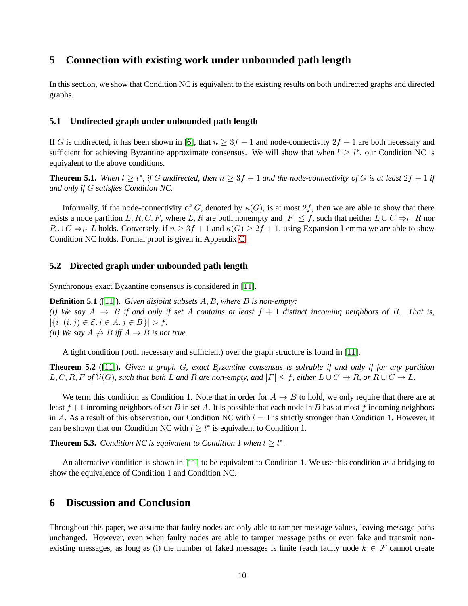## **5 Connection with existing work under unbounded path length**

In this section, we show that Condition NC is equivalent to the existing results on both undirected graphs and directed graphs.

### <span id="page-9-0"></span>**5.1 Undirected graph under unbounded path length**

If G is undirected, it has been shown in [\[6\]](#page-10-5), that  $n \geq 3f + 1$  and node-connectivity  $2f + 1$  are both necessary and sufficient for achieving Byzantine approximate consensus. We will show that when  $l \geq l^*$ , our Condition NC is equivalent to the above conditions.

<span id="page-9-2"></span>**Theorem 5.1.** When  $l \geq l^*$ , if G undirected, then  $n \geq 3f + 1$  and the node-connectivity of G is at least  $2f + 1$  if *and only if* G *satisfies Condition NC.*

Informally, if the node-connectivity of G, denoted by  $\kappa(G)$ , is at most  $2f$ , then we are able to show that there exists a node partition  $L, R, C, F$ , where  $L, R$  are both nonempty and  $|F| \le f$ , such that neither  $L \cup C \Rightarrow_{l^*} R$  nor  $R \cup C \Rightarrow_{l^*} L$  holds. Conversely, if  $n \geq 3f + 1$  and  $\kappa(G) \geq 2f + 1$ , using Expansion Lemma we are able to show Condition NC holds. Formal proof is given in Appendix [C.](#page-23-0)

### **5.2 Directed graph under unbounded path length**

Synchronous exact Byzantine consensus is considered in [\[11\]](#page-11-1).

**Definition 5.1** ([\[11\]](#page-11-1))**.** *Given disjoint subsets* A, B*, where* B *is non-empty: (i)* We say  $A \rightarrow B$  *if and only if set* A *contains at least*  $f + 1$  *distinct incoming neighbors of* B. That *is*,  $|\{i|~(i,j)\in\mathcal{E}, i\in A, j\in B\}| > f.$ *(ii)* We say  $A \nrightarrow B$  *iff*  $A \rightarrow B$  *is not true.* 

A tight condition (both necessary and sufficient) over the graph structure is found in [\[11\]](#page-11-1).

**Theorem 5.2** ([\[11\]](#page-11-1))**.** *Given a graph* G*, exact Byzantine consensus is solvable if and only if for any partition*  $L, C, R, F$  *of*  $V(G)$ *, such that both* L *and* R *are non-empty, and*  $|F| \leq f$ *, either*  $L \cup C \rightarrow R$ *, or*  $R \cup C \rightarrow L$ *.* 

We term this condition as Condition 1. Note that in order for  $A \rightarrow B$  to hold, we only require that there are at least  $f + 1$  incoming neighbors of set B in set A. It is possible that each node in B has at most f incoming neighbors in A. As a result of this observation, our Condition NC with  $l = 1$  is strictly stronger than Condition 1. However, it can be shown that our Condition NC with  $l \geq l^*$  is equivalent to Condition 1.

<span id="page-9-3"></span>**Theorem 5.3.** *Condition NC is equivalent to Condition 1 when*  $l \geq l^*$ *.* 

An alternative condition is shown in [\[11\]](#page-11-1) to be equivalent to Condition 1. We use this condition as a bridging to show the equivalence of Condition 1 and Condition NC.

### <span id="page-9-1"></span>**6 Discussion and Conclusion**

Throughout this paper, we assume that faulty nodes are only able to tamper message values, leaving message paths unchanged. However, even when faulty nodes are able to tamper message paths or even fake and transmit nonexisting messages, as long as (i) the number of faked messages is finite (each faulty node  $k \in \mathcal{F}$  cannot create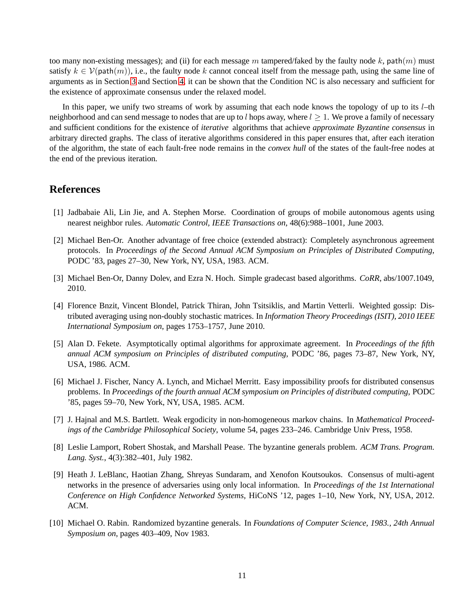too many non-existing messages); and (ii) for each message m tampered/faked by the faulty node k, path $(m)$  must satisfy  $k \in \mathcal{V}(\text{path}(m))$ , i.e., the faulty node k cannot conceal itself from the message path, using the same line of arguments as in Section [3](#page-23-0) and Section [4,](#page-6-0) it can be shown that the Condition NC is also necessary and sufficient for the existence of approximate consensus under the relaxed model.

In this paper, we unify two streams of work by assuming that each node knows the topology of up to its  $l$ –th neighborhood and can send message to nodes that are up to l hops away, where  $l \geq 1$ . We prove a family of necessary and sufficient conditions for the existence of *iterative* algorithms that achieve *approximate Byzantine consensus* in arbitrary directed graphs. The class of iterative algorithms considered in this paper ensures that, after each iteration of the algorithm, the state of each fault-free node remains in the *convex hull* of the states of the fault-free nodes at the end of the previous iteration.

## <span id="page-10-8"></span>**References**

- <span id="page-10-2"></span>[1] Jadbabaie Ali, Lin Jie, and A. Stephen Morse. Coordination of groups of mobile autonomous agents using nearest neighbor rules. *Automatic Control, IEEE Transactions on*, 48(6):988–1001, June 2003.
- [2] Michael Ben-Or. Another advantage of free choice (extended abstract): Completely asynchronous agreement protocols. In *Proceedings of the Second Annual ACM Symposium on Principles of Distributed Computing*, PODC '83, pages 27–30, New York, NY, USA, 1983. ACM.
- <span id="page-10-6"></span><span id="page-10-4"></span>[3] Michael Ben-Or, Danny Dolev, and Ezra N. Hoch. Simple gradecast based algorithms. *CoRR*, abs/1007.1049, 2010.
- [4] Florence Bnzit, Vincent Blondel, Patrick Thiran, John Tsitsiklis, and Martin Vetterli. Weighted gossip: Distributed averaging using non-doubly stochastic matrices. In *Information Theory Proceedings (ISIT), 2010 IEEE International Symposium on*, pages 1753–1757, June 2010.
- <span id="page-10-3"></span>[5] Alan D. Fekete. Asymptotically optimal algorithms for approximate agreement. In *Proceedings of the fifth annual ACM symposium on Principles of distributed computing*, PODC '86, pages 73–87, New York, NY, USA, 1986. ACM.
- <span id="page-10-5"></span>[6] Michael J. Fischer, Nancy A. Lynch, and Michael Merritt. Easy impossibility proofs for distributed consensus problems. In *Proceedings of the fourth annual ACM symposium on Principles of distributed computing*, PODC '85, pages 59–70, New York, NY, USA, 1985. ACM.
- <span id="page-10-9"></span>[7] J. Hajnal and M.S. Bartlett. Weak ergodicity in non-homogeneous markov chains. In *Mathematical Proceedings of the Cambridge Philosophical Society*, volume 54, pages 233–246. Cambridge Univ Press, 1958.
- <span id="page-10-0"></span>[8] Leslie Lamport, Robert Shostak, and Marshall Pease. The byzantine generals problem. *ACM Trans. Program. Lang. Syst.*, 4(3):382–401, July 1982.
- <span id="page-10-7"></span>[9] Heath J. LeBlanc, Haotian Zhang, Shreyas Sundaram, and Xenofon Koutsoukos. Consensus of multi-agent networks in the presence of adversaries using only local information. In *Proceedings of the 1st International Conference on High Confidence Networked Systems*, HiCoNS '12, pages 1–10, New York, NY, USA, 2012. ACM.
- <span id="page-10-1"></span>[10] Michael O. Rabin. Randomized byzantine generals. In *Foundations of Computer Science, 1983., 24th Annual Symposium on*, pages 403–409, Nov 1983.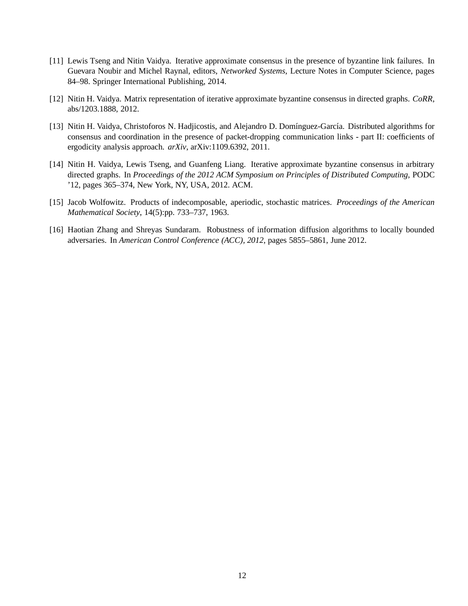- <span id="page-11-1"></span>[11] Lewis Tseng and Nitin Vaidya. Iterative approximate consensus in the presence of byzantine link failures. In Guevara Noubir and Michel Raynal, editors, *Networked Systems*, Lecture Notes in Computer Science, pages 84–98. Springer International Publishing, 2014.
- <span id="page-11-3"></span><span id="page-11-2"></span>[12] Nitin H. Vaidya. Matrix representation of iterative approximate byzantine consensus in directed graphs. *CoRR*, abs/1203.1888, 2012.
- [13] Nitin H. Vaidya, Christoforos N. Hadjicostis, and Alejandro D. Domínguez-García. Distributed algorithms for consensus and coordination in the presence of packet-dropping communication links - part II: coefficients of ergodicity analysis approach. *arXiv*, arXiv:1109.6392, 2011.
- <span id="page-11-0"></span>[14] Nitin H. Vaidya, Lewis Tseng, and Guanfeng Liang. Iterative approximate byzantine consensus in arbitrary directed graphs. In *Proceedings of the 2012 ACM Symposium on Principles of Distributed Computing*, PODC '12, pages 365–374, New York, NY, USA, 2012. ACM.
- <span id="page-11-5"></span><span id="page-11-4"></span>[15] Jacob Wolfowitz. Products of indecomposable, aperiodic, stochastic matrices. *Proceedings of the American Mathematical Society*, 14(5):pp. 733–737, 1963.
- [16] Haotian Zhang and Shreyas Sundaram. Robustness of information diffusion algorithms to locally bounded adversaries. In *American Control Conference (ACC), 2012*, pages 5855–5861, June 2012.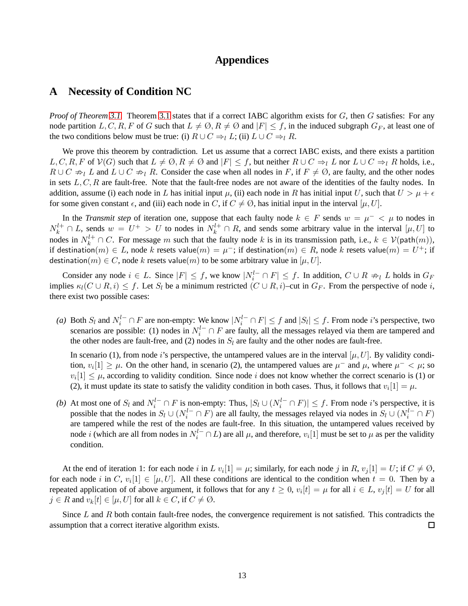### **Appendices**

### <span id="page-12-0"></span>**A Necessity of Condition NC**

*Proof of Theorem [3.1.](#page-24-0)* Theorem [3.1](#page-24-0) states that if a correct IABC algorithm exists for G, then G satisfies: For any node partition L, C, R, F of G such that  $L \neq \emptyset$ ,  $R \neq \emptyset$  and  $|F| \leq f$ , in the induced subgraph  $G_F$ , at least one of the two conditions below must be true: (i)  $R \cup C \Rightarrow_l L$ ; (ii)  $L \cup C \Rightarrow_l R$ .

We prove this theorem by contradiction. Let us assume that a correct IABC exists, and there exists a partition  $L, C, R, F$  of  $V(G)$  such that  $L \neq \emptyset, R \neq \emptyset$  and  $|F| \leq f$ , but neither  $R \cup C \Rightarrow_l L$  nor  $L \cup C \Rightarrow_l R$  holds, i.e.,  $R \cup C \nightharpoonup_l L$  and  $L \cup C \nightharpoonup_l R$ . Consider the case when all nodes in F, if  $F \neq \emptyset$ , are faulty, and the other nodes in sets  $L, C, R$  are fault-free. Note that the fault-free nodes are not aware of the identities of the faulty nodes. In addition, assume (i) each node in L has initial input  $\mu$ , (ii) each node in R has initial input U, such that  $U > \mu + \epsilon$ for some given constant  $\epsilon$ , and (iii) each node in C, if  $C \neq \emptyset$ , has initial input in the interval  $[\mu, U]$ .

In the *Transmit step* of iteration one, suppose that each faulty node  $k \in F$  sends  $w = \mu^{-} < \mu$  to nodes in  $N_k^{l+} \cap L$ , sends  $w = U^+ > U$  to nodes in  $N_k^{l+} \cap R$ , and sends some arbitrary value in the interval  $[\mu, U]$  to nodes in  $N_k^{l+} \cap C$ . For message m such that the faulty node k is in its transmission path, i.e.,  $k \in \mathcal{V}(\text{path}(m))$ , if destination $(m)\in L$ , node  $k$  resets value $(m)=\mu^-;$  if destination $(m)\in R,$  node  $k$  resets value $(m)=U^+;$  if destination(m)  $\in$  C, node k resets value(m) to be some arbitrary value in [ $\mu$ , U].

Consider any node  $i \in L$ . Since  $|F| \le f$ , we know  $|N_i^{l-} \cap F| \le f$ . In addition,  $C \cup R \nRightarrow_l L$  holds in  $G_F$ implies  $\kappa_l(C \cup R, i) \leq f$ . Let  $S_l$  be a minimum restricted  $(C \cup R, i)$ –cut in  $G_F$ . From the perspective of node i, there exist two possible cases:

(*a*) Both  $S_l$  and  $N_i^{l-} \cap F$  are non-empty: We know  $|N_i^{l-} \cap F| \leq f$  and  $|S_l| \leq f$ . From node *i*'s perspective, two scenarios are possible: (1) nodes in  $N_i^{l-} \cap F$  are faulty, all the messages relayed via them are tampered and the other nodes are fault-free, and (2) nodes in  $S_l$  are faulty and the other nodes are fault-free.

In scenario (1), from node i's perspective, the untampered values are in the interval  $[\mu, U]$ . By validity condition,  $v_i[1] \geq \mu$ . On the other hand, in scenario (2), the untampered values are  $\mu^-$  and  $\mu$ , where  $\mu^-$  <  $\mu$ ; so  $v_i[1] \leq \mu$ , according to validity condition. Since node i does not know whether the correct scenario is (1) or (2), it must update its state to satisfy the validity condition in both cases. Thus, it follows that  $v_i[1] = \mu$ .

*(b)* At most one of  $S_l$  and  $N_i^{l-} \cap F$  is non-empty: Thus,  $|S_l \cup (N_i^{l-} \cap F)| \leq f$ . From node *i*'s perspective, it is possible that the nodes in  $S_l \cup (N_i^{l-} \cap F)$  are all faulty, the messages relayed via nodes in  $S_l \cup (N_i^{l-} \cap F)$ are tampered while the rest of the nodes are fault-free. In this situation, the untampered values received by node *i* (which are all from nodes in  $N_i^{l-} \cap L$ ) are all  $\mu$ , and therefore,  $v_i[1]$  must be set to  $\mu$  as per the validity condition.

At the end of iteration 1: for each node i in L  $v_i[1] = \mu$ ; similarly, for each node j in R,  $v_j[1] = U$ ; if  $C \neq \emptyset$ , for each node i in C,  $v_i[1] \in [\mu, U]$ . All these conditions are identical to the condition when  $t = 0$ . Then by a repeated application of of above argument, it follows that for any  $t \geq 0$ ,  $v_i[t] = \mu$  for all  $i \in L$ ,  $v_j[t] = U$  for all  $j \in R$  and  $v_k[t] \in [\mu, U]$  for all  $k \in C$ , if  $C \neq \emptyset$ .

Since  $L$  and  $R$  both contain fault-free nodes, the convergence requirement is not satisfied. This contradicts the assumption that a correct iterative algorithm exists.  $\Box$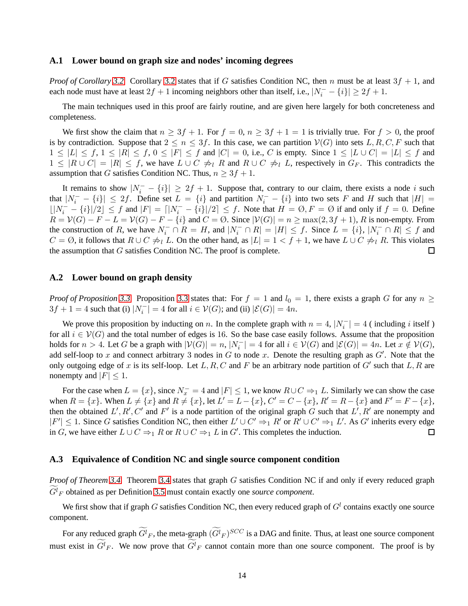#### <span id="page-13-0"></span>**A.1 Lower bound on graph size and nodes' incoming degrees**

*Proof of Corollary* [3.2.](#page-4-2) Corollary [3.2](#page-4-2) states that if G satisfies Condition NC, then n must be at least  $3f + 1$ , and each node must have at least  $2f + 1$  incoming neighbors other than itself, i.e.,  $|N_i^- - \{i\}| \ge 2f + 1$ .

The main techniques used in this proof are fairly routine, and are given here largely for both concreteness and completeness.

We first show the claim that  $n \geq 3f + 1$ . For  $f = 0$ ,  $n \geq 3f + 1 = 1$  is trivially true. For  $f > 0$ , the proof is by contradiction. Suppose that  $2 \le n \le 3f$ . In this case, we can partition  $V(G)$  into sets L, R, C, F such that  $1 \leq |L| \leq f, 1 \leq |R| \leq f, 0 \leq |F| \leq f$  and  $|C| = 0$ , i.e., C is empty. Since  $1 \leq |L| \cup C| = |L| \leq f$  and  $1 \leq |R \cup C| = |R| \leq f$ , we have  $L \cup C \neq_l R$  and  $R \cup C \neq_l L$ , respectively in  $G_F$ . This contradicts the assumption that G satisfies Condition NC. Thus,  $n \geq 3f + 1$ .

It remains to show  $|N_i^- - \{i\}| \geq 2f + 1$ . Suppose that, contrary to our claim, there exists a node i such that  $|N_i^- - \{i\}| \leq 2f$ . Define set  $L = \{i\}$  and partition  $N_i^- - \{i\}$  into two sets F and H such that  $|H| =$  $\lfloor |N_i^- - \{i\}|/2 \rfloor \le f$  and  $|F| = \lfloor |N_i^- - \{i\}|/2 \rfloor \le f$ . Note that  $H = \emptyset, F = \emptyset$  if and only if  $f = 0$ . Define  $R = V(G) - F - L = V(G) - F - \{i\}$  and  $C = \emptyset$ . Since  $|V(G)| = n \ge \max(2, 3f + 1)$ , R is non-empty. From the construction of R, we have  $N_i^- \cap R = H$ , and  $|N_i^- \cap R| = |H| \le f$ . Since  $L = \{i\}, |N_i^- \cap R| \le f$  and  $C = \emptyset$ , it follows that  $R \cup C \neq_l L$ . On the other hand, as  $|L| = 1 < f + 1$ , we have  $L \cup C \neq_l R$ . This violates the assumption that  $G$  satisfies Condition NC. The proof is complete.  $\Box$ 

#### **A.2 Lower bound on graph density**

*Proof of Proposition* [3.3.](#page-5-0) Proposition [3.3](#page-5-0) states that: For  $f = 1$  and  $l_0 = 1$ , there exists a graph G for any  $n \geq$  $3f + 1 = 4$  such that (i)  $|N_i^-| = 4$  for all  $i \in V(G)$ ; and (ii)  $|\mathcal{E}(G)| = 4n$ .

We prove this proposition by inducting on n. In the complete graph with  $n = 4$ ,  $|N_i^-| = 4$  (including i itself) for all  $i \in V(G)$  and the total number of edges is 16. So the base case easily follows. Assume that the proposition holds for  $n > 4$ . Let G be a graph with  $|\mathcal{V}(G)| = n$ ,  $|N_i^-| = 4$  for all  $i \in \mathcal{V}(G)$  and  $|\mathcal{E}(G)| = 4n$ . Let  $x \notin \mathcal{V}(G)$ , add self-loop to x and connect arbitrary 3 nodes in G to node x. Denote the resulting graph as  $G'$ . Note that the only outgoing edge of x is its self-loop. Let L, R, C and F be an arbitrary node partition of  $G'$  such that L, R are nonempty and  $|F| \leq 1$ .

For the case when  $L = \{x\}$ , since  $N_x^- = 4$  and  $|F| \le 1$ , we know  $R \cup C \Rightarrow_1 L$ . Similarly we can show the case when  $R = \{x\}$ . When  $L \neq \{x\}$  and  $R \neq \{x\}$ , let  $L' = L - \{x\}$ ,  $C' = C - \{x\}$ ,  $R' = R - \{x\}$  and  $F' = F - \{x\}$ , then the obtained  $L', R', C'$  and  $F'$  is a node partition of the original graph G such that  $L', R'$  are nonempty and  $|F'| \leq 1$ . Since G satisfies Condition NC, then either  $L' \cup C' \Rightarrow_1 R'$  or  $R' \cup C' \Rightarrow_1 L'$ . As G' inherits every edge in G, we have either  $L \cup C \Rightarrow_1 R$  or  $R \cup C \Rightarrow_1 L$  in G'. This completes the induction.  $\Box$ 

#### **A.3 Equivalence of Condition NC and single source component condition**

*Proof of Theorem [3.4.](#page-6-1)* Theorem [3.4](#page-6-1) states that graph G satisfies Condition NC if and only if every reduced graph  $G^l$ <sub>F</sub> obtained as per Definition [3.5](#page-5-2) must contain exactly one *source component*.

We first show that if graph G satisfies Condition NC, then every reduced graph of  $G<sup>l</sup>$  contains exactly one source component.

For any reduced graph  $G^l{}_F,$  the meta-graph  $(G^l{}_F)^{SCC}$  is a DAG and finite. Thus, at least one source component must exist in  $G^l_F$ . We now prove that  $G^l_F$  cannot contain more than one source component. The proof is by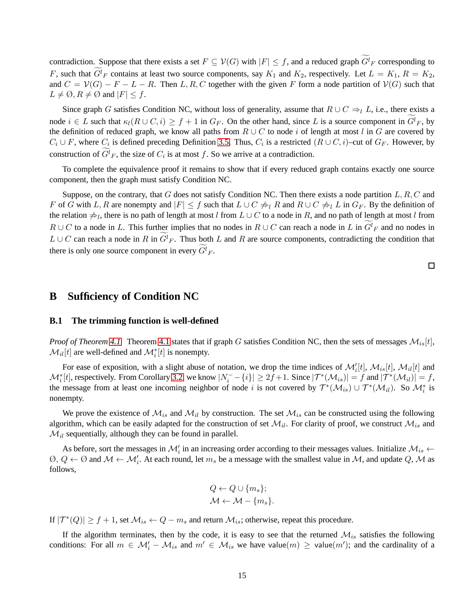contradiction. Suppose that there exists a set  $F \subseteq V(G)$  with  $|F| \leq f$ , and a reduced graph  $G^l_F$  corresponding to F, such that  $G^l_F$  contains at least two source components, say  $K_1$  and  $K_2$ , respectively. Let  $L = K_1$ ,  $R = K_2$ , and  $C = V(G) - F - L - R$ . Then L, R, C together with the given F form a node partition of  $V(G)$  such that  $L \neq \emptyset$ ,  $R \neq \emptyset$  and  $|F| \leq f$ .

Since graph G satisfies Condition NC, without loss of generality, assume that  $R \cup C \Rightarrow_l L$ , i.e., there exists a node  $i \in L$  such that  $\kappa_l(R \cup C, i) \geq f + 1$  in  $G_F$ . On the other hand, since L is a source component in  $G^l_F$ , by the definition of reduced graph, we know all paths from  $R \cup C$  to node i of length at most l in G are covered by  $C_i \cup F$ , where  $C_i$  is defined preceding Definition [3.5.](#page-5-2) Thus,  $C_i$  is a restricted  $(R \cup C, i)$ –cut of  $G_F$ . However, by construction of  $G^l_F$ , the size of  $C_i$  is at most f. So we arrive at a contradiction.

To complete the equivalence proof it remains to show that if every reduced graph contains exactly one source component, then the graph must satisfy Condition NC.

Suppose, on the contrary, that G does not satisfy Condition NC. Then there exists a node partition  $L, R, C$  and F of G with L, R are nonempty and  $|F| \leq f$  such that  $L \cup C \neq_R R$  and  $R \cup C \neq_L L$  in  $G_F$ . By the definition of the relation  $\neq_l$ , there is no path of length at most l from  $L \cup C$  to a node in R, and no path of length at most l from  $R \cup C$  to a node in L. This further implies that no nodes in  $R \cup C$  can reach a node in L in  $G^l_F$  and no nodes in  $L \cup C$  can reach a node in R in  $G^l_F$ . Thus both L and R are source components, contradicting the condition that there is only one source component in every  $G^l_F$ .

 $\Box$ 

## <span id="page-14-1"></span><span id="page-14-0"></span>**B Sufficiency of Condition NC**

#### **B.1 The trimming function is well-defined**

*Proof of Theorem [4.1.](#page-6-2)* Theorem [4.1](#page-6-2) states that if graph G satisfies Condition NC, then the sets of messages  $\mathcal{M}_{is}[t]$ ,  $\mathcal{M}_{il}[t]$  are well-defined and  $\mathcal{M}_{i}^{*}[t]$  is nonempty.

For ease of exposition, with a slight abuse of notation, we drop the time indices of  $\mathcal{M}'_i[t]$ ,  $\mathcal{M}_{is}[t]$ ,  $\mathcal{M}_{il}[t]$  and  $\mathcal{M}_{i}^{*}[t]$ , respectively. From Corollary [3.2,](#page-4-2) we know  $|N_{i}^{-} - {i}| \geq 2f + 1$ . Since  $|\mathcal{T}^{*}(\mathcal{M}_{is})| = f$  and  $|\mathcal{T}^{*}(\mathcal{M}_{il})| = f$ , the message from at least one incoming neighbor of node i is not covered by  $\mathcal{T}^*(\mathcal{M}_{is}) \cup \mathcal{T}^*(\mathcal{M}_{il})$ . So  $\mathcal{M}_i^*$  is nonempty.

We prove the existence of  $\mathcal{M}_{is}$  and  $\mathcal{M}_{il}$  by construction. The set  $\mathcal{M}_{is}$  can be constructed using the following algorithm, which can be easily adapted for the construction of set  $\mathcal{M}_{il}$ . For clarity of proof, we construct  $\mathcal{M}_{is}$  and  $\mathcal{M}_{il}$  sequentially, although they can be found in parallel.

As before, sort the messages in  $M'_i$  in an increasing order according to their messages values. Initialize  $M_{is}$   $\leftarrow$  $\emptyset, Q \leftarrow \emptyset$  and  $M \leftarrow M'_i$ . At each round, let  $m_s$  be a message with the smallest value in M, and update Q, M as follows,

$$
Q \leftarrow Q \cup \{m_s\};
$$

$$
\mathcal{M} \leftarrow \mathcal{M} - \{m_s\}.
$$

If  $|\mathcal{T}^*(Q)| \geq f+1$ , set  $\mathcal{M}_{is} \leftarrow Q - m_s$  and return  $\mathcal{M}_{is}$ ; otherwise, repeat this procedure.

If the algorithm terminates, then by the code, it is easy to see that the returned  $M_{is}$  satisfies the following conditions: For all  $m \in \mathcal{M}'_i - \mathcal{M}_{is}$  and  $m' \in \mathcal{M}_{is}$  we have value $(m) \geq$  value $(m')$ ; and the cardinality of a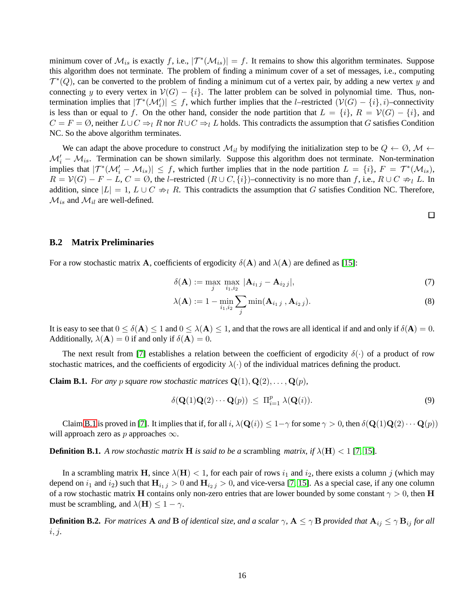minimum cover of  $\mathcal{M}_{is}$  is exactly f, i.e.,  $|\mathcal{T}^*(\mathcal{M}_{is})| = f$ . It remains to show this algorithm terminates. Suppose this algorithm does not terminate. The problem of finding a minimum cover of a set of messages, i.e., computing  $\mathcal{T}^*(Q)$ , can be converted to the problem of finding a minimum cut of a vertex pair, by adding a new vertex y and connecting y to every vertex in  $V(G) - \{i\}$ . The latter problem can be solved in polynomial time. Thus, nontermination implies that  $|\mathcal{T}^*(\mathcal{M}'_i)| \leq f$ , which further implies that the *l*–restricted  $(\mathcal{V}(G) - \{i\}, i)$ –connectivity is less than or equal to f. On the other hand, consider the node partition that  $L = \{i\}$ ,  $R = \mathcal{V}(G) - \{i\}$ , and  $C = F = \emptyset$ , neither  $L \cup C \Rightarrow_l R$  nor  $R \cup C \Rightarrow_l L$  holds. This contradicts the assumption that G satisfies Condition NC. So the above algorithm terminates.

We can adapt the above procedure to construct  $\mathcal{M}_{il}$  by modifying the initialization step to be  $Q \leftarrow \emptyset$ ,  $\mathcal{M} \leftarrow$  $\mathcal{M}'_i - \mathcal{M}_{is}$ . Termination can be shown similarly. Suppose this algorithm does not terminate. Non-termination implies that  $|\mathcal{T}^*(\mathcal{M}'_i - \mathcal{M}_{is})| \leq f$ , which further implies that in the node partition  $L = \{i\}, F = \mathcal{T}^*(\mathcal{M}_{is}),$  $R = V(G) - F - L$ ,  $C = \emptyset$ , the *l*–restricted  $(R \cup C, \{i\})$ –connectivity is no more than f, i.e.,  $R \cup C \nRightarrow_l L$ . In addition, since  $|L| = 1$ ,  $L \cup C \nArr_l R$ . This contradicts the assumption that G satisfies Condition NC. Therefore,  $\mathcal{M}_{is}$  and  $\mathcal{M}_{il}$  are well-defined.

 $\Box$ 

#### <span id="page-15-0"></span>**B.2 Matrix Preliminaries**

For a row stochastic matrix **A**, coefficients of ergodicity  $\delta$ (**A**) and  $\lambda$ (**A**) are defined as [\[15\]](#page-11-5):

$$
\delta(\mathbf{A}) := \max_{j} \max_{i_1, i_2} |\mathbf{A}_{i_1 j} - \mathbf{A}_{i_2 j}|,\tag{7}
$$

$$
\lambda(\mathbf{A}) := 1 - \min_{i_1, i_2} \sum_{j} \min(\mathbf{A}_{i_1 j}, \mathbf{A}_{i_2 j}).
$$
\n(8)

It is easy to see that  $0 \le \delta(A) \le 1$  and  $0 \le \lambda(A) \le 1$ , and that the rows are all identical if and and only if  $\delta(A) = 0$ . Additionally,  $\lambda(\mathbf{A}) = 0$  if and only if  $\delta(\mathbf{A}) = 0$ .

The next result from [\[7\]](#page-10-9) establishes a relation between the coefficient of ergodicity  $\delta(\cdot)$  of a product of row stochastic matrices, and the coefficients of ergodicity  $\lambda(\cdot)$  of the individual matrices defining the product.

<span id="page-15-1"></span>**Claim B.1.** *For any p square row stochastic matrices*  $Q(1), Q(2), \ldots, Q(p)$ *,* 

$$
\delta(\mathbf{Q}(1)\mathbf{Q}(2)\cdots\mathbf{Q}(p)) \le \Pi_{i=1}^p \lambda(\mathbf{Q}(i)).
$$
\n(9)

Claim [B.1](#page-15-1) is proved in [\[7\]](#page-10-9). It implies that if, for all i,  $\lambda(Q(i)) \leq 1-\gamma$  for some  $\gamma > 0$ , then  $\delta(Q(1)Q(2) \cdots Q(p))$ will approach zero as p approaches  $\infty$ .

**Definition B.1.** *A row stochastic matrix* **H** *is said to be a* scrambling *matrix, if*  $\lambda$ (**H**) < 1 [\[7,](#page-10-9) [15\]](#page-11-5)*.* 

In a scrambling matrix H, since  $\lambda(H) < 1$ , for each pair of rows  $i_1$  and  $i_2$ , there exists a column j (which may depend on  $i_1$  and  $i_2$ ) such that  $H_{i_1 j} > 0$  and  $H_{i_2 j} > 0$ , and vice-versa [\[7,](#page-10-9) [15\]](#page-11-5). As a special case, if any one column of a row stochastic matrix H contains only non-zero entries that are lower bounded by some constant  $\gamma > 0$ , then H must be scrambling, and  $\lambda(H) \leq 1 - \gamma$ .

**Definition B.2.** *For matrices* A *and* B *of identical size, and a scalar*  $\gamma$ ,  $A \leq \gamma B$  *provided that*  $A_{ij} \leq \gamma B_{ij}$  *for all* i, j*.*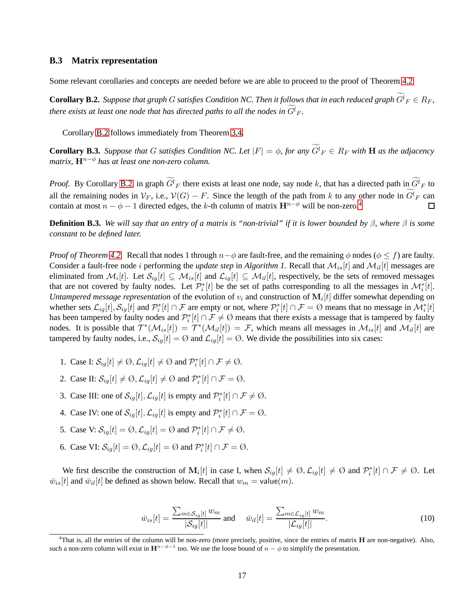#### <span id="page-16-0"></span>**B.3 Matrix representation**

Some relevant corollaries and concepts are needed before we are able to proceed to the proof of Theorem [4.2.](#page-8-0)

<span id="page-16-1"></span>**Corollary B.2.** Suppose that graph G satisfies Condition NC. Then it follows that in each reduced graph  $G^l{}_F \in R_F$ , *there exists at least one node that has directed paths to all the nodes in*  $G^l_F$ *.* 

Corollary [B.2](#page-16-1) follows immediately from Theorem [3.4.](#page-6-1)

<span id="page-16-3"></span>**Corollary B.3.** *Suppose that* G *satisfies Condition NC. Let*  $|F| = \phi$ , for any  $G^l_F \in R_F$  with **H** as the adjacency *matrix,*  $\mathbf{H}^{n-\phi}$  *has at least one non-zero column.* 

*Proof.* By Corollary [B.2,](#page-16-1) in graph  $G^l_F$  there exists at least one node, say node k, that has a directed path in  $G^l_F$  to all the remaining nodes in  $V_F$ , i.e.,  $V(G) - F$ . Since the length of the path from k to any other node in  $G^l_F$  can contain at most  $n - \phi - 1$  directed edges, the k-th column of matrix  $\mathbf{H}^{n-\phi}$  will be non-zero.<sup>[4](#page-16-2)</sup>  $\Box$ 

**Definition B.3.** *We will say that an entry of a matrix is "non-trivial" if it is lower bounded by β, where β is some constant to be defined later.*

*Proof of Theorem [4.2.](#page-8-0)* Recall that nodes 1 through  $n-\phi$  are fault-free, and the remaining  $\phi$  nodes ( $\phi \leq f$ ) are faulty. Consider a fault-free node *i* performing the *update step* in *Algorithm 1*. Recall that  $\mathcal{M}_{is}[t]$  and  $\mathcal{M}_{il}[t]$  messages are eliminated from  $\mathcal{M}_i[t]$ . Let  $\mathcal{S}_{ig}[t] \subseteq \mathcal{M}_{is}[t]$  and  $\mathcal{L}_{ig}[t] \subseteq \mathcal{M}_{il}[t]$ , respectively, be the sets of removed messages that are not covered by faulty nodes. Let  $\mathcal{P}_{i}^{*}[t]$  be the set of paths corresponding to all the messages in  $\mathcal{M}_{i}^{*}[t]$ . *Untampered message representation* of the evolution of  $v_i$  and construction of  $M_i[t]$  differ somewhat depending on whether sets  $\mathcal{L}_{ig}[t], \mathcal{S}_{ig}[t]$  and  $\mathcal{P}_i^*[t] \cap \mathcal{F}$  are empty or not, where  $\mathcal{P}_i^*[t] \cap \mathcal{F} = \emptyset$  means that no message in  $\mathcal{M}_i^*[t]$ has been tampered by faulty nodes and  $\mathcal{P}_i^*[t] \cap \mathcal{F} \neq \emptyset$  means that there exists a message that is tampered by faulty nodes. It is possible that  $\mathcal{T}^*(\mathcal{M}_{is}[t]) = \mathcal{T}^*(\mathcal{M}_{il}[t]) = \mathcal{F}$ , which means all messages in  $\mathcal{M}_{is}[t]$  and  $\mathcal{M}_{il}[t]$  are tampered by faulty nodes, i.e.,  $S_{ig}[t] = \emptyset$  and  $\mathcal{L}_{ig}[t] = \emptyset$ . We divide the possibilities into six cases:

- 1. Case I:  $S_{ig}[t] \neq \emptyset$ ,  $\mathcal{L}_{ig}[t] \neq \emptyset$  and  $\mathcal{P}_i^*[t] \cap \mathcal{F} \neq \emptyset$ .
- 2. Case II:  $S_{ig}[t] \neq \emptyset$ ,  $\mathcal{L}_{ig}[t] \neq \emptyset$  and  $\mathcal{P}_i^*[t] \cap \mathcal{F} = \emptyset$ .
- 3. Case III: one of  $\mathcal{S}_{ig}[t], \mathcal{L}_{ig}[t]$  is empty and  $\mathcal{P}_{i}^{*}[t] \cap \mathcal{F} \neq \emptyset$ .
- 4. Case IV: one of  $\mathcal{S}_{ig}[t], \mathcal{L}_{ig}[t]$  is empty and  $\mathcal{P}_{i}^{*}[t] \cap \mathcal{F} = \emptyset$ .
- 5. Case V:  $S_{ig}[t] = \emptyset$ ,  $\mathcal{L}_{ig}[t] = \emptyset$  and  $\mathcal{P}_i^*[t] \cap \mathcal{F} \neq \emptyset$ .
- 6. Case VI:  $S_{ig}[t] = \emptyset$ ,  $\mathcal{L}_{ig}[t] = \emptyset$  and  $\mathcal{P}_i^*[t] \cap \mathcal{F} = \emptyset$ .

We first describe the construction of  $M_i[t]$  in case I, when  $S_{ig}[t] \neq \emptyset$ ,  $\mathcal{L}_{ig}[t] \neq \emptyset$  and  $\mathcal{P}_i^*[t] \cap \mathcal{F} \neq \emptyset$ . Let  $\bar{w}_{is}[t]$  and  $\bar{w}_{il}[t]$  be defined as shown below. Recall that  $w_m = \text{value}(m)$ .

$$
\bar{w}_{is}[t] = \frac{\sum_{m \in \mathcal{S}_{ig}[t]} w_m}{|\mathcal{S}_{ig}[t]|} \text{ and } \bar{w}_{il}[t] = \frac{\sum_{m \in \mathcal{L}_{ig}[t]} w_m}{|\mathcal{L}_{ig}[t]|}. \tag{10}
$$

<span id="page-16-2"></span> $4$ That is, all the entries of the column will be non-zero (more precisely, positive, since the entries of matrix  $H$  are non-negative). Also, such a non-zero column will exist in  $H^{n-\phi-1}$  too. We use the loose bound of  $n-\phi$  to simplify the presentation.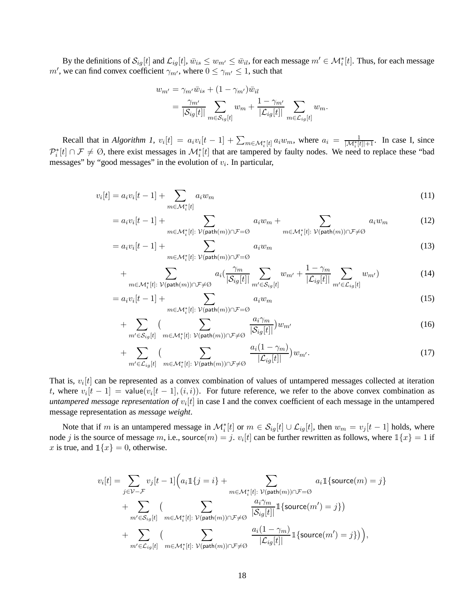By the definitions of  $\mathcal{S}_{ig}[t]$  and  $\mathcal{L}_{ig}[t]$ ,  $\bar{w}_{is} \leq w_{m'} \leq \bar{w}_{it}$ , for each message  $m' \in \mathcal{M}_i^*[t]$ . Thus, for each message m', we can find convex coefficient  $\gamma_{m'}$ , where  $0 \leq \gamma_{m'} \leq 1$ , such that

$$
w_{m'} = \gamma_{m'} \bar{w}_{is} + (1 - \gamma_{m'}) \bar{w}_{il}
$$
  
= 
$$
\frac{\gamma_{m'}}{|\mathcal{S}_{ig}[t]|} \sum_{m \in \mathcal{S}_{ig}[t]} w_m + \frac{1 - \gamma_{m'}}{|\mathcal{L}_{ig}[t]|} \sum_{m \in \mathcal{L}_{ig}[t]} w_m.
$$

Recall that in *Algorithm 1*,  $v_i[t] = a_i v_i[t-1] + \sum_{m \in \mathcal{M}_i^*[t]} a_i w_m$ , where  $a_i = \frac{1}{|\mathcal{M}_i^*[t]|+1}$ . In case I, since  $\mathcal{P}_i^*[t] \cap \mathcal{F} \neq \emptyset$ , there exist messages in  $\mathcal{M}_i^*[t]$  that are tampered by faulty nodes. We need to replace these "bad messages" by "good messages" in the evolution of  $v_i$ . In particular,

 $=$ 

$$
v_i[t] = a_i v_i[t-1] + \sum_{m \in \mathcal{M}_i^*[t]} a_i w_m \tag{11}
$$

$$
= a_i v_i[t-1] + \sum_{m \in \mathcal{M}_i^*[t]: \ \mathcal{V}(\text{path}(m)) \cap \mathcal{F} = \emptyset} a_i w_m + \sum_{m \in \mathcal{M}_i^*[t]: \ \mathcal{V}(\text{path}(m)) \cap \mathcal{F} \neq \emptyset} a_i w_m \tag{12}
$$

$$
a_i v_i[t-1] + \sum_{m \in \mathcal{M}_i^*[t]: \ \mathcal{V}(\text{path}(m)) \cap \mathcal{F} = \emptyset} a_i w_m \tag{13}
$$

$$
+\sum_{m\in\mathcal{M}_{i}^{*}[t]:\,\mathcal{V}(\text{path}(m))\cap\mathcal{F}\neq\emptyset}a_{i}\left(\frac{\gamma_{m}}{|\mathcal{S}_{ig}[t]|}\sum_{m'\in\mathcal{S}_{ig}[t]}w_{m'}+\frac{1-\gamma_{m}}{|\mathcal{L}_{ig}[t]|}\sum_{m'\in\mathcal{L}_{ig}[t]}w_{m'}\right) \tag{14}
$$

$$
= a_i v_i[t-1] + \sum_{m \in \mathcal{M}_i^*[t]: \ \mathcal{V}(\mathsf{path}(m)) \cap \mathcal{F} = \emptyset} a_i w_m \tag{15}
$$

$$
+\sum_{m'\in\mathcal{S}_{ig}[t]} \Big(\sum_{m\in\mathcal{M}_i^*[t]:\ \mathcal{V}(\mathsf{path}(m))\cap\mathcal{F}\neq\emptyset} \frac{a_i\gamma_m}{|\mathcal{S}_{ig}[t]|}\Big)w_{m'}
$$
(16)

$$
+\sum_{m'\in\mathcal{L}_{ig}[t]}(\sum_{m\in\mathcal{M}_{i}^{*}[t]:\,\mathcal{V}(\text{path}(m))\cap\mathcal{F}\neq\emptyset}\frac{a_{i}(1-\gamma_{m})}{|\mathcal{L}_{ig}[t]|})w_{m'}.
$$
\n(17)

That is,  $v_i[t]$  can be represented as a convex combination of values of untampered messages collected at iteration t, where  $v_i[t-1] = \text{value}(v_i[t-1], (i, i))$ . For future reference, we refer to the above convex combination as *untampered message representation of*  $v_i[t]$  in case I and the convex coefficient of each message in the untampered message representation as *message weight*.

Note that if m is an untampered message in  $\mathcal{M}_i^*[t]$  or  $m \in \mathcal{S}_{ig}[t] \cup \mathcal{L}_{ig}[t]$ , then  $w_m = v_j[t-1]$  holds, where node j is the source of message m, i.e., source $(m) = j$ .  $v_i[t]$  can be further rewritten as follows, where  $\mathbb{1}\{x\} = 1$  if x is true, and  $\mathbb{1}{x} = 0$ , otherwise.

$$
v_i[t] = \sum_{j \in \mathcal{V} - \mathcal{F}} v_j[t-1] \Big( a_i \mathbb{1}\{j=i\} + \sum_{m \in \mathcal{M}_i^*[t]:} \sum_{\mathcal{V}(\text{path}(m)) \cap \mathcal{F} = \emptyset} a_i \mathbb{1}\{\text{source}(m) = j\} + \sum_{m' \in \mathcal{S}_{ig}[t]} \Big( \sum_{m \in \mathcal{M}_i^*[t]:} \sum_{\mathcal{V}(\text{path}(m)) \cap \mathcal{F} \neq \emptyset} \frac{a_i \gamma_m}{|\mathcal{S}_{ig}[t]|} \mathbb{1}\{\text{source}(m') = j\} \Big) + \sum_{m' \in \mathcal{L}_{ig}[t]} \Big( \sum_{m \in \mathcal{M}_i^*[t]:} \sum_{\mathcal{V}(\text{path}(m)) \cap \mathcal{F} \neq \emptyset} \frac{a_i(1 - \gamma_m)}{|\mathcal{L}_{ig}[t]|} \mathbb{1}\{\text{source}(m') = j\} \Big),
$$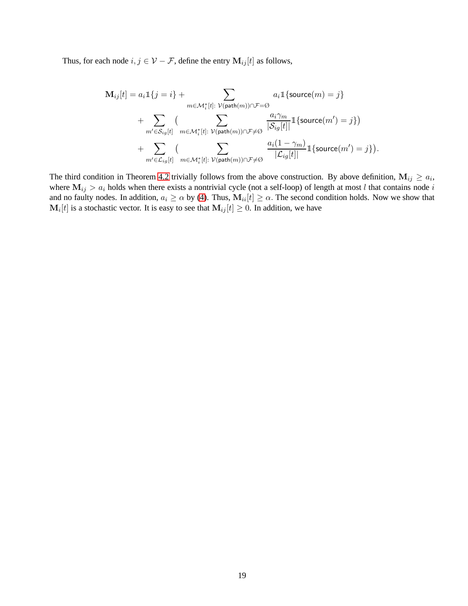Thus, for each node  $i,j\in\mathcal{V}-\mathcal{F},$  define the entry  $\mathbf{M}_{ij}[t]$  as follows,

$$
\mathbf{M}_{ij}[t] = a_i \mathbbm{1}\{j = i\} + \sum_{m \in \mathcal{M}_i^*[t]:} \sum_{\mathcal{V}(\mathsf{path}(m)) \cap \mathcal{F} = \emptyset} a_i \mathbbm{1}\{\text{source}(m) = j\} \n+ \sum_{m' \in \mathcal{S}_{ig}[t]} \left( \sum_{m \in \mathcal{M}_i^*[t]:} \sum_{\mathcal{V}(\mathsf{path}(m)) \cap \mathcal{F} \neq \emptyset} \frac{a_i \gamma_m}{|\mathcal{S}_{ig}[t]|} \mathbbm{1}\{\text{source}(m') = j\}\right) \n+ \sum_{m' \in \mathcal{L}_{ig}[t]} \left( \sum_{m \in \mathcal{M}_i^*[t]:} \sum_{\mathcal{V}(\mathsf{path}(m)) \cap \mathcal{F} \neq \emptyset} \frac{a_i(1 - \gamma_m)}{|\mathcal{L}_{ig}[t]|} \mathbbm{1}\{\text{source}(m') = j\}\right).
$$

The third condition in Theorem [4.2](#page-8-0) trivially follows from the above construction. By above definition,  $M_{ij} \ge a_i$ , where  $M_{ij} > a_i$  holds when there exists a nontrivial cycle (not a self-loop) of length at most l that contains node i and no faulty nodes. In addition,  $a_i \ge \alpha$  by [\(4\)](#page-7-1). Thus,  $M_{ii}[t] \ge \alpha$ . The second condition holds. Now we show that  $\mathbf{M}_i[t]$  is a stochastic vector. It is easy to see that  $\mathbf{M}_{ij}[t] \geq 0$ . In addition, we have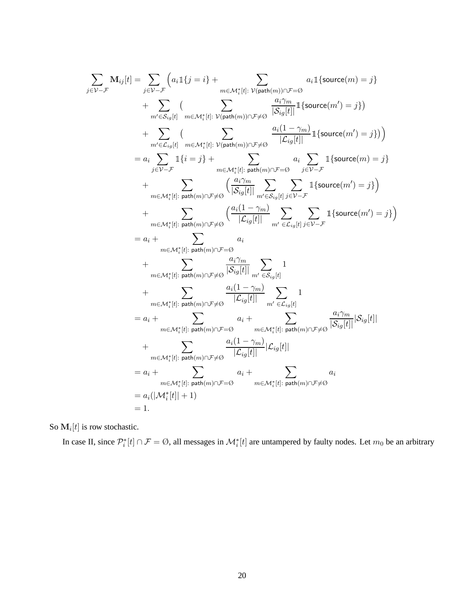$$
\begin{split} \sum_{j \in \mathcal{V} - \mathcal{F}} \mathbf{M}_{ij}[t] &= \sum_{j \in \mathcal{V} - \mathcal{F}} \left( a_{i} \mathbbm{1}\{j = i\} + \sum_{m \in \mathcal{M}_{i}^{*}[t]:} \sum_{\mathcal{V}(\text{path}(m)) \cap \mathcal{F} = \mathcal{O}} a_{i} \mathbbm{1}\{\text{source}(m) = j\} \right. \\ & \quad + \sum_{m' \in S_{i_{\mathcal{G}}}[t]} \sum_{m \in \mathcal{M}_{i}^{*}[t]:} \sum_{\mathcal{V}(\text{path}(m)) \cap \mathcal{F} \neq \mathcal{O}} \frac{a_{i} \gamma_{m}}{|\mathcal{S}_{ij}[t]|} \mathbbm{1}\{\text{source}(m') = j\} \right) \\ &= a_{i} \sum_{j \in \mathcal{V} - \mathcal{F}} \mathbbm{1}\{i = j\} + \sum_{m \in \mathcal{M}_{i}^{*}[t]:} \sum_{\mathcal{V}(\text{path}(m)) \cap \mathcal{F} \neq \mathcal{O}} a_{i} \sum_{j \in \mathcal{V} - \mathcal{F}} \mathbbm{1}\{\text{source}(m) = j\} \\ & \quad + \sum_{m \in \mathcal{M}_{i}^{*}[t]:} \sum_{\mathcal{V} \in \mathcal{V} + \mathcal{V}} \left( \frac{a_{i} \gamma_{m}}{|\mathcal{S}_{i_{\mathcal{G}}}[t]|} \sum_{m \in \mathcal{K}_{i_{\mathcal{G}}}[t]} \sum_{j \in \mathcal{V} - \mathcal{F}} \mathbbm{1}\{\text{source}(m') = j\} \right) \\ & \quad + \sum_{m \in \mathcal{M}_{i}^{*}[t]:} \sum_{\mathcal{V} \in \mathcal{W} \cap \mathcal{V} \neq \mathcal{O}} \left( \frac{a_{i} (1 - \gamma_{m})}{|\mathcal{S}_{i_{\mathcal{G}}}[t]|} \sum_{m' \in \mathcal{K}_{i_{\mathcal{G}}}[t]} \sum_{j \in \mathcal{V} - \mathcal{F}} \mathbbm{1}\{\text{source}(m') = j\} \right) \\ &= a_{i} + \sum_{m \in \mathcal{M}_{i}^{*}[t]:} \sum_{\mathcal{V} \in \mathcal{W} \cap
$$

So  $\mathbf{M}_i[t]$  is row stochastic.

In case II, since  $\mathcal{P}_i^*[t] \cap \mathcal{F} = \emptyset$ , all messages in  $\mathcal{M}_i^*[t]$  are untampered by faulty nodes. Let  $m_0$  be an arbitrary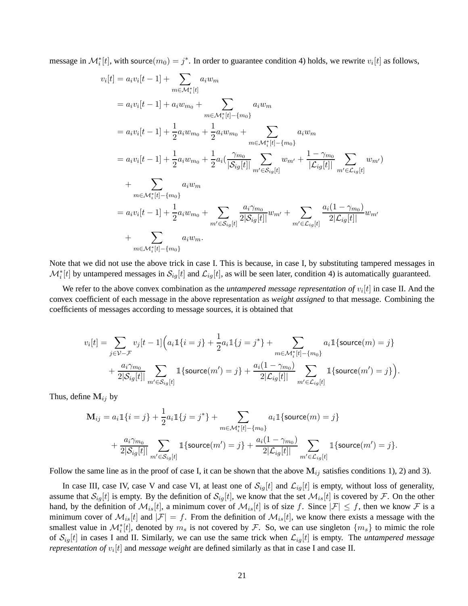message in  $\mathcal{M}_i^*[t]$ , with source $(m_0) = j^*$ . In order to guarantee condition 4) holds, we rewrite  $v_i[t]$  as follows,

$$
[t] = a_i v_i[t-1] + \sum_{m \in \mathcal{M}_i^*[t]} a_i w_m
$$
  
\n
$$
= a_i v_i[t-1] + a_i w_{m_0} + \sum_{m \in \mathcal{M}_i^*[t] - \{m_0\}}
$$
  
\n
$$
= a_i v_i[t-1] + \frac{1}{2} a_i w_{m_0} + \frac{1}{2} a_i w_{m_0} + \sum_{m \in \mathcal{M}_i^*[t] - \{m_0\}}
$$
  
\n
$$
= a_i v_i[t-1] + \frac{1}{2} a_i w_{m_0} + \frac{1}{2} a_i \left( \frac{\gamma_{m_0}}{|\mathcal{S}_{ig}[t]|} \sum_{m' \in \mathcal{S}_{ig}[t]} w_{m'} + \frac{1 - \gamma_{m_0}}{|\mathcal{L}_{ig}[t]|} \sum_{m' \in \mathcal{L}_{ig}[t]} w_{m'} \right)
$$
  
\n+ 
$$
\sum_{m \in \mathcal{M}_i^*[t] - \{m_0\}}
$$
  
\n
$$
= a_i v_i[t-1] + \frac{1}{2} a_i w_{m_0} + \sum_{m' \in \mathcal{S}_{ig}[t]} \frac{a_i \gamma_{m_0}}{2|\mathcal{S}_{ig}[t]|} w_{m'} + \sum_{m' \in \mathcal{L}_{ig}[t]} \frac{a_i(1 - \gamma_{m_0})}{2|\mathcal{L}_{ig}[t]|} w_{m'}
$$
  
\n+ 
$$
\sum_{m \in \mathcal{M}_i^*[t] - \{m_0\}}
$$
  
\n
$$
a_i w_m.
$$

Note that we did not use the above trick in case I. This is because, in case I, by substituting tampered messages in  $\mathcal{M}_i^*[t]$  by untampered messages in  $\mathcal{S}_{ig}[t]$  and  $\mathcal{L}_{ig}[t]$ , as will be seen later, condition 4) is automatically guaranteed.

We refer to the above convex combination as the *untampered message representation of*  $v_i[t]$  in case II. And the convex coefficient of each message in the above representation as *weight assigned* to that message. Combining the coefficients of messages according to message sources, it is obtained that

$$
v_{i}[t] = \sum_{j \in \mathcal{V} - \mathcal{F}} v_{j}[t-1] \Big( a_{i} \mathbb{1}\{i=j\} + \frac{1}{2} a_{i} \mathbb{1}\{j=j^{*}\} + \sum_{m \in \mathcal{M}_{i}^{*}[t] - \{m_{0}\}} a_{i} \mathbb{1}\{\text{source}(m) = j\} + \frac{a_{i} \gamma_{m_{0}}}{2|\mathcal{S}_{ig}[t]|} \sum_{m' \in \mathcal{S}_{ig}[t]} \mathbb{1}\{\text{source}(m') = j\} + \frac{a_{i}(1 - \gamma_{m_{0}})}{2|\mathcal{L}_{ig}[t]|} \sum_{m' \in \mathcal{L}_{ig}[t]} \mathbb{1}\{\text{source}(m') = j\} \Big).
$$

Thus, define  $M_{ij}$  by

 $v_i$ 

$$
\mathbf{M}_{ij} = a_i \mathbb{1}\{i = j\} + \frac{1}{2} a_i \mathbb{1}\{j = j^*\} + \sum_{m \in \mathcal{M}_i^*[t] - \{m_0\}} a_i \mathbb{1}\{\text{source}(m) = j\} + \frac{a_i \gamma_{m_0}}{2|\mathcal{S}_{ig}[t]|} \sum_{m' \in \mathcal{S}_{ig}[t]} \mathbb{1}\{\text{source}(m') = j\} + \frac{a_i (1 - \gamma_{m_0})}{2|\mathcal{L}_{ig}[t]|} \sum_{m' \in \mathcal{L}_{ig}[t]} \mathbb{1}\{\text{source}(m') = j\}.
$$

Follow the same line as in the proof of case I, it can be shown that the above  $M_{ij}$  satisfies conditions 1), 2) and 3).

In case III, case IV, case V and case VI, at least one of  $S_{ig}[t]$  and  $\mathcal{L}_{ig}[t]$  is empty, without loss of generality, assume that  $S_{ig}[t]$  is empty. By the definition of  $S_{ig}[t]$ , we know that the set  $\mathcal{M}_{is}[t]$  is covered by  $\mathcal{F}$ . On the other hand, by the definition of  $\mathcal{M}_{is}[t]$ , a minimum cover of  $\mathcal{M}_{is}[t]$  is of size f. Since  $|\mathcal{F}| \leq f$ , then we know  $\mathcal F$  is a minimum cover of  $\mathcal{M}_{is}[t]$  and  $|\mathcal{F}| = f$ . From the definition of  $\mathcal{M}_{is}[t]$ , we know there exists a message with the smallest value in  $\mathcal{M}_{i}^{*}[t]$ , denoted by  $m_s$  is not covered by  $\mathcal{F}$ . So, we can use singleton  $\{m_s\}$  to mimic the role of  $S_{iq}[t]$  in cases I and II. Similarly, we can use the same trick when  $\mathcal{L}_{iq}[t]$  is empty. The *untampered message representation of*  $v_i[t]$  and *message weight* are defined similarly as that in case I and case II.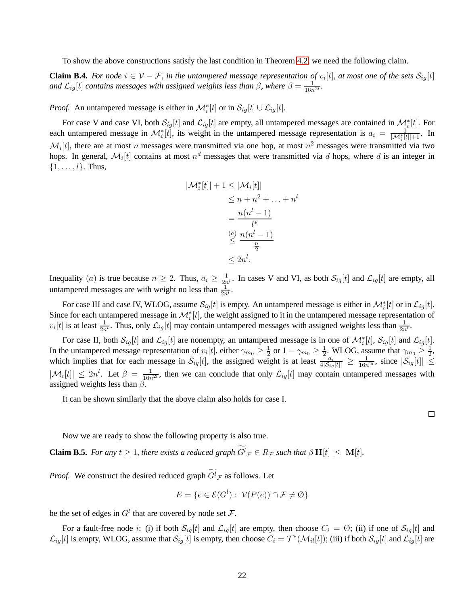To show the above constructions satisfy the last condition in Theorem [4.2,](#page-8-0) we need the following claim.

<span id="page-21-0"></span>**Claim B.4.** For node  $i \in V - F$ , in the untampered message representation of  $v_i[t]$ , at most one of the sets  $\mathcal{S}_{ig}[t]$ and  $\mathcal{L}_{ig}[t]$  *contains messages with assigned weights less than*  $\beta$ *, where*  $\beta = \frac{1}{16n^{2l}}$ *.* 

*Proof.* An untampered message is either in  $\mathcal{M}_i^*[t]$  or in  $\mathcal{S}_{ig}[t] \cup \mathcal{L}_{ig}[t]$ .

For case V and case VI, both  $S_{ig}[t]$  and  $\mathcal{L}_{ig}[t]$  are empty, all untampered messages are contained in  $\mathcal{M}_i^*[t]$ . For each untampered message in  $\mathcal{M}_{i}^{*}[t]$ , its weight in the untampered message representation is  $a_i = \frac{1}{|\mathcal{M}_{i}^{*}[t]|+1}$ . In  $\mathcal{M}_i[t]$ , there are at most n messages were transmitted via one hop, at most  $n^2$  messages were transmitted via two hops. In general,  $\mathcal{M}_i[t]$  contains at most  $n^d$  messages that were transmitted via d hops, where d is an integer in  $\{1, \ldots, l\}$ . Thus,

$$
|\mathcal{M}_{i}^{*}[t]| + 1 \leq |\mathcal{M}_{i}[t]|
$$
  
\n
$$
\leq n + n^{2} + \dots + n^{l}
$$
  
\n
$$
= \frac{n(n^{l} - 1)}{l^{*}}
$$
  
\n
$$
\leq \frac{n(n^{l} - 1)}{\frac{n}{2}}
$$
  
\n
$$
\leq 2n^{l}.
$$

Inequality (*a*) is true because  $n \ge 2$ . Thus,  $a_i \ge \frac{1}{2n^l}$ . In cases V and VI, as both  $S_{ig}[t]$  and  $\mathcal{L}_{ig}[t]$  are empty, all untampered messages are with weight no less than  $\frac{1}{2n^l}$ .

For case III and case IV, WLOG, assume  $\mathcal{S}_{ig}[t]$  is empty. An untampered message is either in  $\mathcal{M}_i^*[t]$  or in  $\mathcal{L}_{ig}[t]$ . Since for each untampered message in  $\mathcal{M}_{i}^{*}[t]$ , the weight assigned to it in the untampered message representation of  $v_i[t]$  is at least  $\frac{1}{2n^l}$ . Thus, only  $\mathcal{L}_{ig}[t]$  may contain untampered messages with assigned weights less than  $\frac{1}{2n^l}$ .

For case II, both  $\mathcal{S}_{ig}[t]$  and  $\mathcal{L}_{ig}[t]$  are nonempty, an untampered message is in one of  $\mathcal{M}_i^*[t]$ ,  $\mathcal{S}_{ig}[t]$  and  $\mathcal{L}_{ig}[t]$ . In the untampered message representation of  $v_i[t]$ , either  $\gamma_{m_0} \geq \frac{1}{2}$  or  $1 - \gamma_{m_0} \geq \frac{1}{2}$ . WLOG, assume that  $\gamma_{m_0} \geq \frac{1}{2}$ , which implies that for each message in  $S_{ig}[t]$ , the assigned weight is at least  $\frac{a_i}{4|S_{ig}[t]|} \geq \frac{1}{16n^{2l}}$ , since  $|S_{ig}[t]| \leq$  $|\mathcal{M}_i[t]| \leq 2n^l$ . Let  $\beta = \frac{1}{16n^{2l}}$ , then we can conclude that only  $\mathcal{L}_{ig}[t]$  may contain untampered messages with assigned weights less than  $\beta$ .

It can be shown similarly that the above claim also holds for case I.

 $\Box$ 

Now we are ready to show the following property is also true.

<span id="page-21-1"></span>**Claim B.5.** *For any*  $t \geq 1$ *, there exists a reduced graph*  $G^l \mathcal{F} \in R_{\mathcal{F}}$  *such that*  $\beta \mathbf{H}[t] \leq \mathbf{M}[t]$ *.* 

*Proof.* We construct the desired reduced graph  $G^l_{\mathcal{F}}$  as follows. Let

$$
E = \{ e \in \mathcal{E}(G^l) : \ \mathcal{V}(P(e)) \cap \mathcal{F} \neq \emptyset \}
$$

be the set of edges in  $G<sup>l</sup>$  that are covered by node set  $\mathcal{F}$ .

For a fault-free node i: (i) if both  $S_{ig}[t]$  and  $\mathcal{L}_{ig}[t]$  are empty, then choose  $C_i = \emptyset$ ; (ii) if one of  $S_{ig}[t]$  and  $\mathcal{L}_{ig}[t]$  is empty, WLOG, assume that  $\mathcal{S}_{ig}[t]$  is empty, then choose  $C_i = \mathcal{T}^*(\mathcal{M}_{il}[t])$ ; (iii) if both  $\mathcal{S}_{ig}[t]$  and  $\mathcal{L}_{ig}[t]$  are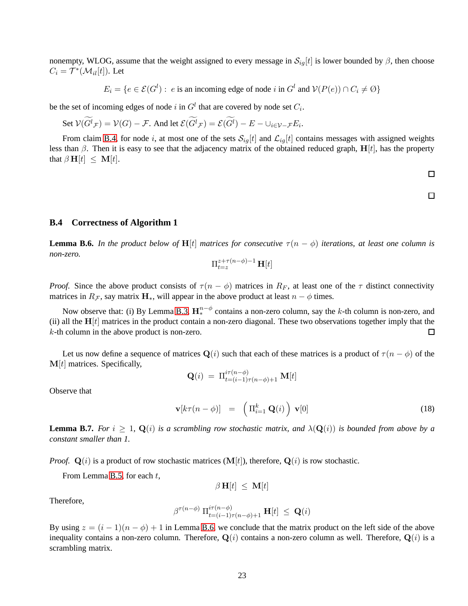nonempty, WLOG, assume that the weight assigned to every message in  $S_{ig}[t]$  is lower bounded by  $\beta$ , then choose  $C_i = \mathcal{T}^*(\mathcal{M}_{il}[t])$ . Let

$$
E_i = \{ e \in \mathcal{E}(G^l) : e \text{ is an incoming edge of node } i \text{ in } G^l \text{ and } \mathcal{V}(P(e)) \cap C_i \neq \emptyset \}
$$

be the set of incoming edges of node i in  $G<sup>l</sup>$  that are covered by node set  $C<sub>i</sub>$ .

Set 
$$
V(\widetilde{G}^l_{\mathcal{F}}) = V(G) - \mathcal{F}
$$
. And let  $\mathcal{E}(\widetilde{G}^l_{\mathcal{F}}) = \mathcal{E}(\widetilde{G}^l) - E - \cup_{i \in \mathcal{V} - \mathcal{F}} E_i$ .

From claim [B.4,](#page-21-0) for node i, at most one of the sets  $S_{ig}[t]$  and  $\mathcal{L}_{ig}[t]$  contains messages with assigned weights less than  $\beta$ . Then it is easy to see that the adjacency matrix of the obtained reduced graph,  $H[t]$ , has the property that  $\beta \mathbf{H}[t] \leq \mathbf{M}[t]$ .

 $\Box$ 

$$
\overline{}
$$

### <span id="page-22-0"></span>**B.4 Correctness of Algorithm 1**

<span id="page-22-1"></span>**Lemma B.6.** *In the product below of*  $H[t]$  *matrices for consecutive*  $\tau(n - \phi)$  *iterations, at least one column is non-zero.*

$$
\Pi_{t=z}^{z+\tau(n-\phi)-1}\, {\bf H}[t]
$$

*Proof.* Since the above product consists of  $\tau (n - \phi)$  matrices in  $R_F$ , at least one of the  $\tau$  distinct connectivity matrices in  $R_{\mathcal{F}}$ , say matrix  $\mathbf{H}_{*}$ , will appear in the above product at least  $n - \phi$  times.

Now observe that: (i) By Lemma [B.3,](#page-16-3)  $\mathbf{H}_{*}^{n-\phi}$  contains a non-zero column, say the k-th column is non-zero, and (ii) all the  $H[t]$  matrices in the product contain a non-zero diagonal. These two observations together imply that the k-th column in the above product is non-zero. П

Let us now define a sequence of matrices  $\mathbf{Q}(i)$  such that each of these matrices is a product of  $\tau (n - \phi)$  of the  $M[t]$  matrices. Specifically,

$$
\mathbf{Q}(i) = \Pi_{t=(i-1)\tau(n-\phi)+1}^{i\tau(n-\phi)} \mathbf{M}[t]
$$

Observe that

$$
\mathbf{v}[k\tau(n-\phi)] = \left(\Pi_{i=1}^k \mathbf{Q}(i)\right) \mathbf{v}[0] \tag{18}
$$

**Lemma B.7.** *For*  $i \geq 1$ ,  $\mathbf{Q}(i)$  *is a scrambling row stochastic matrix, and*  $\lambda(\mathbf{Q}(i))$  *is bounded from above by a constant smaller than 1.*

*Proof.*  $\mathbf{Q}(i)$  is a product of row stochastic matrices  $(\mathbf{M}[t])$ , therefore,  $\mathbf{Q}(i)$  is row stochastic.

From Lemma [B.5,](#page-21-1) for each  $t$ ,

 $\beta$  **H**[t]  $\leq$  **M**[t]

Therefore,

$$
\beta^{\tau(n-\phi)}\amalg_{t=(i-1)\tau(n-\phi)+1}^{i\tau(n-\phi)}\mathbf{H}[t] \ \leq \ \mathbf{Q}(i)
$$

By using  $z = (i - 1)(n - \phi) + 1$  in Lemma [B.6,](#page-22-1) we conclude that the matrix product on the left side of the above inequality contains a non-zero column. Therefore,  $Q(i)$  contains a non-zero column as well. Therefore,  $Q(i)$  is a scrambling matrix.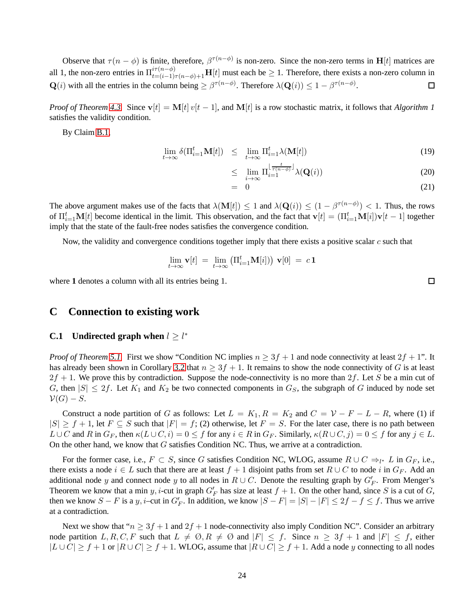Observe that  $\tau(n-\phi)$  is finite, therefore,  $\beta^{\tau(n-\phi)}$  is non-zero. Since the non-zero terms in H[t] matrices are all 1, the non-zero entries in  $\prod_{t=(i-1)\tau(n-\phi)+1}^{i\tau(n-\phi)}$  H[t] must each be  $\geq 1$ . Therefore, there exists a non-zero column in  $\mathbf{Q}(i)$  with all the entries in the column being  $\geq \beta^{\tau(n-\phi)}$ . Therefore  $\lambda(\mathbf{Q}(i)) \leq 1 - \beta^{\tau(n-\phi)}$ .  $\Box$ 

*Proof of Theorem [4.3.](#page-8-3)* Since  $\mathbf{v}[t] = \mathbf{M}[t] v[t-1]$ , and  $\mathbf{M}[t]$  is a row stochastic matrix, it follows that *Algorithm 1* satisfies the validity condition.

By Claim [B.1,](#page-15-1)

$$
\lim_{t \to \infty} \delta(\Pi_{i=1}^t \mathbf{M}[t]) \leq \lim_{t \to \infty} \Pi_{i=1}^t \lambda(\mathbf{M}[t])
$$
\n(19)

$$
\leq \lim_{i \to \infty} \Pi_{i=1}^{\lfloor \frac{t}{\tau(n-\phi)} \rfloor} \lambda(\mathbf{Q}(i)) \tag{20}
$$

$$
= 0 \tag{21}
$$

The above argument makes use of the facts that  $\lambda(\mathbf{M}[t]) \leq 1$  and  $\lambda(\mathbf{Q}(i)) \leq (1 - \beta^{\tau(n-\phi)}) < 1$ . Thus, the rows of  $\Pi_{i=1}^t \mathbf{M}[t]$  become identical in the limit. This observation, and the fact that  $\mathbf{v}[t] = (\Pi_{i=1}^t \mathbf{M}[i]) \mathbf{v}[t-1]$  together imply that the state of the fault-free nodes satisfies the convergence condition.

Now, the validity and convergence conditions together imply that there exists a positive scalar  $c$  such that

$$
\lim_{t \to \infty} \mathbf{v}[t] = \lim_{t \to \infty} \left( \Pi_{i=1}^t \mathbf{M}[i] \right) \mathbf{v}[0] = c \mathbf{1}
$$

<span id="page-23-0"></span>where 1 denotes a column with all its entries being 1.

### **C Connection to existing work**

## **C.1** Undirected graph when  $l \geq l^*$

*Proof of Theorem* [5.1.](#page-9-2) First we show "Condition NC implies  $n \geq 3f + 1$  and node connectivity at least  $2f + 1$ ". It has already been shown in Corollary [3.2](#page-4-2) that  $n \geq 3f + 1$ . It remains to show the node connectivity of G is at least  $2f + 1$ . We prove this by contradiction. Suppose the node-connectivity is no more than  $2f$ . Let S be a min cut of G, then  $|S| \leq 2f$ . Let  $K_1$  and  $K_2$  be two connected components in  $G_S$ , the subgraph of G induced by node set  $\mathcal{V}(G)-S.$ 

Construct a node partition of G as follows: Let  $L = K_1, R = K_2$  and  $C = V - F - L - R$ , where (1) if  $|S| \ge f + 1$ , let  $F \subseteq S$  such that  $|F| = f$ ; (2) otherwise, let  $F = S$ . For the later case, there is no path between  $L\cup C$  and R in  $G_F$ , then  $\kappa(L\cup C,i)=0\leq f$  for any  $i\in R$  in  $G_F$ . Similarly,  $\kappa(R\cup C,j)=0\leq f$  for any  $j\in L$ . On the other hand, we know that  $G$  satisfies Condition NC. Thus, we arrive at a contradiction.

For the former case, i.e.,  $F \subset S$ , since G satisfies Condition NC, WLOG, assume  $R \cup C \Rightarrow_{l^*} L$  in  $G_F$ , i.e., there exists a node  $i \in L$  such that there are at least  $f + 1$  disjoint paths from set  $R \cup C$  to node i in  $G_F$ . Add an additional node y and connect node y to all nodes in  $R \cup C$ . Denote the resulting graph by  $G_F'$ . From Menger's Theorem we know that a min y, i-cut in graph  $G'_F$  has size at least  $f + 1$ . On the other hand, since S is a cut of G, then we know  $S - F$  is a y, i–cut in  $G'_F$ . In addition, we know  $|S - F| = |S| - |F| \le 2f - f \le f$ . Thus we arrive at a contradiction.

Next we show that " $n \geq 3f + 1$  and  $2f + 1$  node-connectivity also imply Condition NC". Consider an arbitrary node partition  $L, R, C, F$  such that  $L \neq \emptyset, R \neq \emptyset$  and  $|F| \leq f$ . Since  $n \geq 3f + 1$  and  $|F| \leq f$ , either  $|L \cup C| \ge f + 1$  or  $|R \cup C| \ge f + 1$ . WLOG, assume that  $|R \cup C| \ge f + 1$ . Add a node y connecting to all nodes

 $\Box$